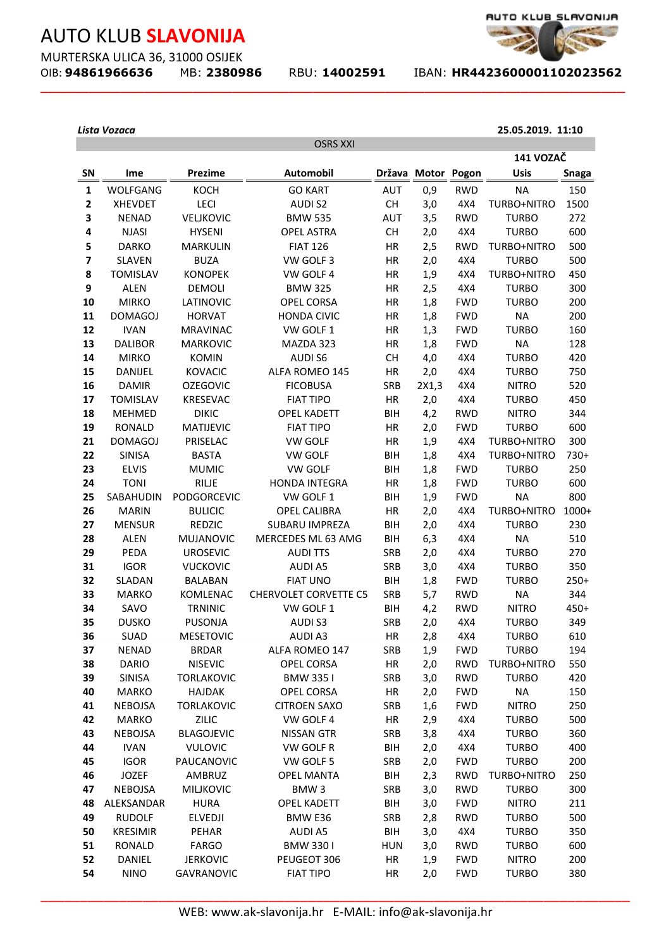MURTERSKA ULICA 36, 31000 OSIJEK OIB: **94861966636** MB: **2380986** RBU: **14002591** IBAN: **HR4423600001102023562** 

**\_\_\_\_\_\_\_\_\_\_\_\_\_\_\_\_\_\_\_\_\_\_\_\_\_\_\_\_\_\_\_\_\_\_\_\_\_\_\_\_\_\_\_\_\_\_\_\_\_\_\_\_\_\_\_\_\_\_\_\_\_\_\_\_\_\_\_\_\_\_\_\_\_**



**25.05.2019. 11:10**

#### *Lista Vozaca*

|                         |                      |                            | <b>OSRS XXI</b>                           |                          |            |                          |                              |               |
|-------------------------|----------------------|----------------------------|-------------------------------------------|--------------------------|------------|--------------------------|------------------------------|---------------|
|                         |                      |                            |                                           |                          |            |                          | 141 VOZAČ                    |               |
| SN                      | Ime                  | <b>Prezime</b>             | <b>Automobil</b>                          | <b>Država</b>            | Motor      | Pogon                    | <b>Usis</b>                  | <b>Snaga</b>  |
| $\mathbf{1}$            | WOLFGANG             | KOCH                       | <b>GO KART</b>                            | <b>AUT</b>               | 0,9        | <b>RWD</b>               | <b>NA</b>                    | 150           |
| $\mathbf{2}$            | <b>XHEVDET</b>       | LECI                       | <b>AUDIS2</b>                             | CH                       | 3,0        | 4X4                      | TURBO+NITRO                  | 1500          |
| 3                       | <b>NENAD</b>         | <b>VELJKOVIC</b>           | <b>BMW 535</b>                            | <b>AUT</b>               | 3,5        | <b>RWD</b>               | <b>TURBO</b>                 | 272           |
| 4                       | <b>NJASI</b>         | <b>HYSENI</b>              | <b>OPEL ASTRA</b>                         | <b>CH</b>                | 2,0        | 4X4                      | <b>TURBO</b>                 | 600           |
| 5                       | <b>DARKO</b>         | <b>MARKULIN</b>            | <b>FIAT 126</b>                           | HR                       | 2,5        | <b>RWD</b>               | TURBO+NITRO                  | 500           |
| $\overline{\mathbf{z}}$ | <b>SLAVEN</b>        | <b>BUZA</b>                | VW GOLF 3                                 | HR                       | 2,0        | 4X4                      | <b>TURBO</b>                 | 500           |
| 8                       | <b>TOMISLAV</b>      | <b>KONOPEK</b>             | VW GOLF 4                                 | HR                       | 1,9        | 4X4                      | TURBO+NITRO                  | 450           |
| 9                       | <b>ALEN</b>          | <b>DEMOLI</b>              | <b>BMW 325</b>                            | HR                       | 2,5        | 4X4                      | <b>TURBO</b>                 | 300           |
| 10                      | <b>MIRKO</b>         | LATINOVIC                  | <b>OPEL CORSA</b>                         | HR                       | 1,8        | <b>FWD</b>               | <b>TURBO</b>                 | 200           |
| 11                      | <b>DOMAGOJ</b>       | <b>HORVAT</b>              | <b>HONDA CIVIC</b>                        | HR                       | 1,8        | <b>FWD</b>               | <b>NA</b>                    | 200           |
| 12                      | <b>IVAN</b>          | <b>MRAVINAC</b>            | VW GOLF 1                                 | HR                       | 1,3        | <b>FWD</b>               | <b>TURBO</b>                 | 160           |
| 13                      | <b>DALIBOR</b>       | <b>MARKOVIC</b>            | MAZDA 323                                 | HR                       | 1,8        | <b>FWD</b>               | <b>NA</b>                    | 128           |
| 14                      | <b>MIRKO</b>         | <b>KOMIN</b>               | <b>AUDI S6</b>                            | <b>CH</b>                | 4,0        | 4X4                      | <b>TURBO</b>                 | 420           |
| 15                      | <b>DANIJEL</b>       | <b>KOVACIC</b>             | ALFA ROMEO 145                            | HR                       | 2,0        | 4X4                      | <b>TURBO</b>                 | 750           |
| 16                      | <b>DAMIR</b>         | <b>OZEGOVIC</b>            | <b>FICOBUSA</b>                           | <b>SRB</b>               | 2X1,3      | 4X4                      | <b>NITRO</b>                 | 520           |
| 17                      | <b>TOMISLAV</b>      | <b>KRESEVAC</b>            | <b>FIAT TIPO</b>                          | HR                       | 2,0        | 4X4                      | <b>TURBO</b>                 | 450           |
| 18                      | <b>MEHMED</b>        | <b>DIKIC</b>               | <b>OPEL KADETT</b>                        | <b>BIH</b>               | 4,2        | <b>RWD</b>               | <b>NITRO</b>                 | 344           |
| 19                      | <b>RONALD</b>        | <b>MATIJEVIC</b>           | <b>FIAT TIPO</b>                          | HR                       | 2,0        | <b>FWD</b>               | <b>TURBO</b>                 | 600           |
| 21                      | <b>DOMAGOJ</b>       | PRISELAC                   | <b>VW GOLF</b>                            | HR                       | 1,9        | 4X4                      | TURBO+NITRO                  | 300           |
| 22                      | <b>SINISA</b>        | <b>BASTA</b>               | <b>VW GOLF</b>                            | <b>BIH</b>               | 1,8        | 4X4                      | TURBO+NITRO                  | $730+$        |
| 23                      | <b>ELVIS</b>         | <b>MUMIC</b>               | <b>VW GOLF</b>                            | <b>BIH</b>               | 1,8        | <b>FWD</b>               | <b>TURBO</b>                 | 250           |
| 24                      | <b>TONI</b>          | <b>RILJE</b>               | <b>HONDA INTEGRA</b>                      | HR                       | 1,8        | <b>FWD</b>               | <b>TURBO</b>                 | 600           |
| 25                      | SABAHUDIN            | PODGORCEVIC                | VW GOLF 1                                 | <b>BIH</b>               | 1,9        | <b>FWD</b>               | <b>NA</b>                    | 800           |
| 26                      | <b>MARIN</b>         | <b>BULICIC</b>             | <b>OPEL CALIBRA</b>                       | HR                       | 2,0        | 4X4                      | TURBO+NITRO                  | 1000+         |
| 27                      | <b>MENSUR</b>        | <b>REDZIC</b>              | <b>SUBARU IMPREZA</b>                     | <b>BIH</b>               | 2,0        | 4X4                      | <b>TURBO</b>                 | 230           |
| 28                      | <b>ALEN</b>          | <b>MUJANOVIC</b>           | MERCEDES ML 63 AMG                        | <b>BIH</b>               | 6,3        | 4X4                      | <b>NA</b>                    | 510           |
| 29                      | PEDA                 | <b>UROSEVIC</b>            | <b>AUDITTS</b>                            | SRB                      | 2,0        | 4X4                      | <b>TURBO</b>                 | 270           |
| 31<br>32                | <b>IGOR</b>          | <b>VUCKOVIC</b>            | <b>AUDI A5</b>                            | <b>SRB</b><br><b>BIH</b> | 3,0        | 4X4                      | <b>TURBO</b><br><b>TURBO</b> | 350<br>$250+$ |
|                         | <b>SLADAN</b>        | <b>BALABAN</b>             | <b>FIAT UNO</b>                           | <b>SRB</b>               | 1,8        | <b>FWD</b>               |                              |               |
| 33<br>34                | <b>MARKO</b><br>SAVO | KOMLENAC<br><b>TRNINIC</b> | <b>CHERVOLET CORVETTE C5</b><br>VW GOLF 1 | <b>BIH</b>               | 5,7        | <b>RWD</b><br><b>RWD</b> | <b>NA</b><br><b>NITRO</b>    | 344<br>$450+$ |
| 35                      | <b>DUSKO</b>         | <b>PUSONJA</b>             | <b>AUDIS3</b>                             | <b>SRB</b>               | 4,2<br>2,0 | 4X4                      | <b>TURBO</b>                 | 349           |
| 36                      | <b>SUAD</b>          | <b>MESETOVIC</b>           | <b>AUDI A3</b>                            | HR                       | 2,8        | 4X4                      | <b>TURBO</b>                 | 610           |
| 37                      | <b>NENAD</b>         | <b>BRDAR</b>               | ALFA ROMEO 147                            | <b>SRB</b>               | 1,9        | <b>FWD</b>               | <b>TURBO</b>                 | 194           |
| 38                      | <b>DARIO</b>         | <b>NISEVIC</b>             | <b>OPEL CORSA</b>                         | HR                       | 2,0        | <b>RWD</b>               | TURBO+NITRO                  | 550           |
| 39                      | SINISA               | <b>TORLAKOVIC</b>          | <b>BMW 3351</b>                           | SRB                      | 3,0        | <b>RWD</b>               | <b>TURBO</b>                 | 420           |
| 40                      | <b>MARKO</b>         | <b>HAJDAK</b>              | OPEL CORSA                                | HR                       | 2,0        | <b>FWD</b>               | <b>NA</b>                    | 150           |
| 41                      | <b>NEBOJSA</b>       | <b>TORLAKOVIC</b>          | <b>CITROEN SAXO</b>                       | SRB                      | 1,6        | <b>FWD</b>               | <b>NITRO</b>                 | 250           |
| 42                      | <b>MARKO</b>         | ZILIC                      | VW GOLF 4                                 | HR                       | 2,9        | 4X4                      | <b>TURBO</b>                 | 500           |
| 43                      | <b>NEBOJSA</b>       | <b>BLAGOJEVIC</b>          | NISSAN GTR                                | SRB                      | 3,8        | 4X4                      | <b>TURBO</b>                 | 360           |
| 44                      | <b>IVAN</b>          | <b>VULOVIC</b>             | VW GOLF R                                 | BIH                      | 2,0        | 4X4                      | <b>TURBO</b>                 | 400           |
| 45                      | <b>IGOR</b>          | PAUCANOVIC                 | VW GOLF 5                                 | SRB                      | 2,0        | <b>FWD</b>               | <b>TURBO</b>                 | 200           |
| 46                      | <b>JOZEF</b>         | AMBRUZ                     | <b>OPEL MANTA</b>                         | <b>BIH</b>               | 2,3        | <b>RWD</b>               | TURBO+NITRO                  | 250           |
| 47                      | <b>NEBOJSA</b>       | <b>MILJKOVIC</b>           | BMW <sub>3</sub>                          | SRB                      | 3,0        | <b>RWD</b>               | <b>TURBO</b>                 | 300           |
| 48                      | ALEKSANDAR           | <b>HURA</b>                | <b>OPEL KADETT</b>                        | <b>BIH</b>               | 3,0        | <b>FWD</b>               | <b>NITRO</b>                 | 211           |
| 49                      | <b>RUDOLF</b>        | <b>ELVEDJI</b>             | BMW E36                                   | SRB                      | 2,8        | <b>RWD</b>               | <b>TURBO</b>                 | 500           |
| 50                      | <b>KRESIMIR</b>      | PEHAR                      | <b>AUDI A5</b>                            | <b>BIH</b>               | 3,0        | 4X4                      | <b>TURBO</b>                 | 350           |
| 51                      | <b>RONALD</b>        | <b>FARGO</b>               | <b>BMW 3301</b>                           | HUN                      | 3,0        | <b>RWD</b>               | <b>TURBO</b>                 | 600           |
| 52                      | DANIEL               | <b>JERKOVIC</b>            | PEUGEOT 306                               | HR                       | 1,9        | <b>FWD</b>               | <b>NITRO</b>                 | 200           |
| 54                      | <b>NINO</b>          | GAVRANOVIC                 | <b>FIAT TIPO</b>                          | HR                       | 2,0        | <b>FWD</b>               | <b>TURBO</b>                 | 380           |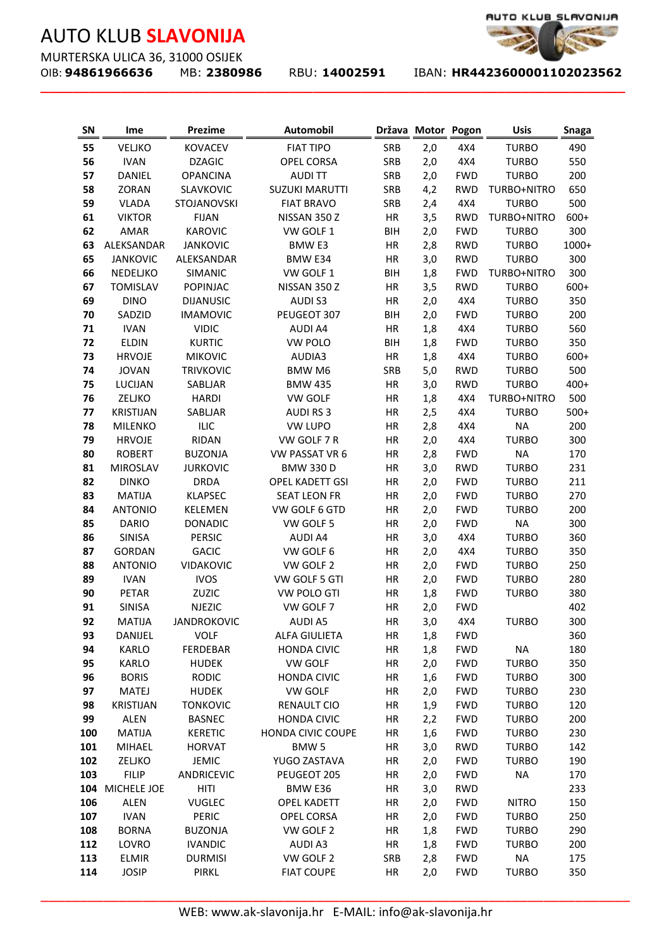MURTERSKA ULICA 36, 31000 OSIJEK<br>OIB: **94861966636** MB: 2380986

**\_\_\_\_\_\_\_\_\_\_\_\_\_\_\_\_\_\_\_\_\_\_\_\_\_\_\_\_\_\_\_\_\_\_\_\_\_\_\_\_\_\_\_\_\_\_\_\_\_\_\_\_\_\_\_\_\_\_\_\_\_\_\_\_\_\_\_\_\_\_\_\_\_**

OIB: **94861966636** MB: **2380986** RBU: **14002591** IBAN: **HR4423600001102023562** 

| <b>SN</b> | Ime              | Prezime            | <b>Automobil</b>                                      |            | Država Motor Pogon |            | <b>Usis</b>  | <b>Snaga</b> |
|-----------|------------------|--------------------|-------------------------------------------------------|------------|--------------------|------------|--------------|--------------|
| 55        | <b>VELJKO</b>    | <b>KOVACEV</b>     | <b>FIAT TIPO</b>                                      | SRB        | 2,0                | 4X4        | <b>TURBO</b> | 490          |
| 56        | <b>IVAN</b>      | <b>DZAGIC</b>      | OPEL CORSA                                            | SRB        | 2,0                | 4X4        | <b>TURBO</b> | 550          |
| 57        | DANIEL           | <b>OPANCINA</b>    | <b>AUDITT</b>                                         | SRB        | 2,0                | <b>FWD</b> | <b>TURBO</b> | 200          |
| 58        | ZORAN            | SLAVKOVIC          | <b>SUZUKI MARUTTI</b>                                 | SRB        | 4,2                | <b>RWD</b> | TURBO+NITRO  | 650          |
| 59        | <b>VLADA</b>     | STOJANOVSKI        | <b>FIAT BRAVO</b>                                     | SRB        | 2,4                | 4X4        | <b>TURBO</b> | 500          |
| 61        | <b>VIKTOR</b>    | <b>FIJAN</b>       | NISSAN 350 Z                                          | HR         | 3,5                | <b>RWD</b> | TURBO+NITRO  | 600+         |
| 62        | AMAR             | <b>KAROVIC</b>     | VW GOLF 1                                             | <b>BIH</b> | 2,0                | <b>FWD</b> | <b>TURBO</b> | 300          |
| 63        | ALEKSANDAR       | <b>JANKOVIC</b>    | <b>BMW E3</b>                                         | HR         | 2,8                | <b>RWD</b> | <b>TURBO</b> | 1000+        |
| 65        | <b>JANKOVIC</b>  | ALEKSANDAR         | BMW E34                                               | HR         | 3,0                | <b>RWD</b> | <b>TURBO</b> | 300          |
| 66        | NEDELJKO         | SIMANIC            | VW GOLF 1                                             | <b>BIH</b> | 1,8                | <b>FWD</b> | TURBO+NITRO  | 300          |
| 67        | <b>TOMISLAV</b>  | <b>POPINJAC</b>    | NISSAN 350 Z                                          | HR         | 3,5                | <b>RWD</b> | <b>TURBO</b> | 600+         |
| 69        | <b>DINO</b>      | <b>DIJANUSIC</b>   | <b>AUDIS3</b>                                         | HR         | 2,0                | 4X4        | <b>TURBO</b> | 350          |
| 70        | SADZID           | <b>IMAMOVIC</b>    | PEUGEOT 307                                           | <b>BIH</b> | 2,0                | <b>FWD</b> | <b>TURBO</b> | 200          |
| 71        | <b>IVAN</b>      | <b>VIDIC</b>       | <b>AUDI A4</b>                                        | HR         | 1,8                | 4X4        | <b>TURBO</b> | 560          |
| 72        | <b>ELDIN</b>     | <b>KURTIC</b>      | <b>VW POLO</b>                                        | <b>BIH</b> | 1,8                | <b>FWD</b> | <b>TURBO</b> | 350          |
| 73        | <b>HRVOJE</b>    | <b>MIKOVIC</b>     | AUDIA3                                                | HR         | 1,8                | 4X4        | <b>TURBO</b> | $600+$       |
| 74        | <b>JOVAN</b>     | <b>TRIVKOVIC</b>   | BMW M6                                                | SRB        | $5,0$              | <b>RWD</b> | <b>TURBO</b> | 500          |
| 75        | LUCIJAN          | SABLJAR            | <b>BMW 435</b>                                        | HR         | 3,0                | <b>RWD</b> | <b>TURBO</b> | 400+         |
| 76        | ZELJKO           | <b>HARDI</b>       | <b>VW GOLF</b>                                        | HR         | 1,8                | 4X4        | TURBO+NITRO  | 500          |
| 77        | <b>KRISTIJAN</b> | SABLJAR            | <b>AUDI RS3</b>                                       | HR         | 2,5                | 4X4        | <b>TURBO</b> | $500+$       |
| 78        | MILENKO          | <b>ILIC</b>        | <b>VW LUPO</b>                                        | HR         | 2,8                | 4X4        | <b>NA</b>    | 200          |
| 79        | <b>HRVOJE</b>    | <b>RIDAN</b>       | VW GOLF 7 R                                           | HR         | 2,0                | 4X4        | <b>TURBO</b> | 300          |
| 80        | <b>ROBERT</b>    | <b>BUZONJA</b>     | VW PASSAT VR 6                                        | HR         | 2,8                | <b>FWD</b> | <b>NA</b>    | 170          |
| 81        | <b>MIROSLAV</b>  | <b>JURKOVIC</b>    | <b>BMW 330 D</b>                                      | HR         | 3,0                | <b>RWD</b> | <b>TURBO</b> | 231          |
| 82        | <b>DINKO</b>     | <b>DRDA</b>        | <b>OPEL KADETT GSI</b>                                | HR         | 2,0                | <b>FWD</b> | <b>TURBO</b> | 211          |
| 83        | <b>MATIJA</b>    | <b>KLAPSEC</b>     | <b>SEAT LEON FR</b>                                   | HR         | 2,0                | <b>FWD</b> | <b>TURBO</b> | 270          |
| 84        | <b>ANTONIO</b>   | <b>KELEMEN</b>     | VW GOLF 6 GTD                                         | HR         | 2,0                | <b>FWD</b> | <b>TURBO</b> | 200          |
| 85        | <b>DARIO</b>     | <b>DONADIC</b>     | VW GOLF 5                                             | HR         | 2,0                | <b>FWD</b> | <b>NA</b>    | 300          |
| 86        | SINISA           | <b>PERSIC</b>      | <b>AUDI A4</b>                                        | HR         | 3,0                | 4X4        | <b>TURBO</b> | 360          |
| 87        | <b>GORDAN</b>    | <b>GACIC</b>       | VW GOLF 6                                             | HR         | 2,0                | 4X4        | <b>TURBO</b> | 350          |
| 88        | <b>ANTONIO</b>   | VIDAKOVIC          | VW GOLF 2                                             | HR         | 2,0                | <b>FWD</b> | <b>TURBO</b> | 250          |
| 89        | <b>IVAN</b>      | <b>IVOS</b>        | VW GOLF 5 GTI                                         | HR         | 2,0                | <b>FWD</b> | <b>TURBO</b> | 280          |
| 90        | PETAR            | ZUZIC              | VW POLO GTI                                           | HR         | 1,8                | <b>FWD</b> | <b>TURBO</b> | 380          |
| 91        | <b>SINISA</b>    | <b>NJEZIC</b>      | VW GOLF 7                                             | HR         | 2,0                | <b>FWD</b> |              | 402          |
| 92        | <b>MATIJA</b>    | <b>JANDROKOVIC</b> | <b>AUDI A5</b>                                        | HR         | 3,0                | 4X4        | <b>TURBO</b> | 300          |
| 93        | DANIJEL          | <b>VOLF</b>        | <b>ALFA GIULIETA</b>                                  | HR         | 1,8                | <b>FWD</b> |              | 360          |
| 94        | <b>KARLO</b>     | FERDEBAR           | <b>HONDA CIVIC</b>                                    | HR         | 1,8                | <b>FWD</b> | <b>NA</b>    | 180          |
| 95        | <b>KARLO</b>     | <b>HUDEK</b>       | VW GOLF                                               | HR         | 2,0                | <b>FWD</b> | <b>TURBO</b> | 350          |
| 96        | <b>BORIS</b>     | <b>RODIC</b>       | <b>HONDA CIVIC</b>                                    | ΗR         | 1,6                | <b>FWD</b> | <b>TURBO</b> | 300          |
| 97        | <b>MATEJ</b>     | <b>HUDEK</b>       | VW GOLF                                               | HR         | 2,0                | <b>FWD</b> | <b>TURBO</b> | 230          |
| 98        | <b>KRISTIJAN</b> | <b>TONKOVIC</b>    | <b>RENAULT CIO</b>                                    | ΗR         | 1,9                | <b>FWD</b> | <b>TURBO</b> | 120          |
| 99        | <b>ALEN</b>      | <b>BASNEC</b>      | <b>HONDA CIVIC</b>                                    | ΗR         | 2,2                | <b>FWD</b> | <b>TURBO</b> | 200          |
| 100       | <b>MATIJA</b>    | <b>KERETIC</b>     | <b>HONDA CIVIC COUPE</b>                              | HR         | 1,6                | <b>FWD</b> | <b>TURBO</b> | 230          |
| 101       | MIHAEL           | <b>HORVAT</b>      | BMW <sub>5</sub>                                      | HR         | 3,0                | <b>RWD</b> | <b>TURBO</b> | 142          |
| 102       | ZELJKO           | <b>JEMIC</b>       | YUGO ZASTAVA                                          | HR         | 2,0                | <b>FWD</b> | <b>TURBO</b> | 190          |
| 103       | <b>FILIP</b>     | ANDRICEVIC         | PEUGEOT 205                                           | ΗR         | 2,0                | <b>FWD</b> | <b>NA</b>    | 170          |
|           | 104 MICHELE JOE  | HITI               | BMW E36                                               | ΗR         | 3,0                | <b>RWD</b> |              | 233          |
| 106       | <b>ALEN</b>      | <b>VUGLEC</b>      | <b>OPEL KADETT</b>                                    | HR         | 2,0                | <b>FWD</b> | <b>NITRO</b> | 150          |
| 107       | <b>IVAN</b>      | PERIC              | OPEL CORSA                                            | ΗR         | 2,0                | <b>FWD</b> | <b>TURBO</b> | 250          |
| 108       | <b>BORNA</b>     | <b>BUZONJA</b>     | VW GOLF 2                                             | HR         | 1,8                | <b>FWD</b> | <b>TURBO</b> | 290          |
| 112       | LOVRO            | <b>IVANDIC</b>     | <b>AUDI A3</b>                                        | HR         | 1,8                | <b>FWD</b> | <b>TURBO</b> | 200          |
| 113       | <b>ELMIR</b>     | <b>DURMISI</b>     | VW GOLF 2                                             | SRB        | 2,8                | <b>FWD</b> | <b>NA</b>    | 175          |
| 114       | <b>JOSIP</b>     | PIRKL              | <b>FIAT COUPE</b>                                     | HR         | 2,0                | <b>FWD</b> | <b>TURBO</b> | 350          |
|           |                  |                    | WEB: www.ak-slavonija.hr E-MAIL: info@ak-slavonija.hr |            |                    |            |              |              |

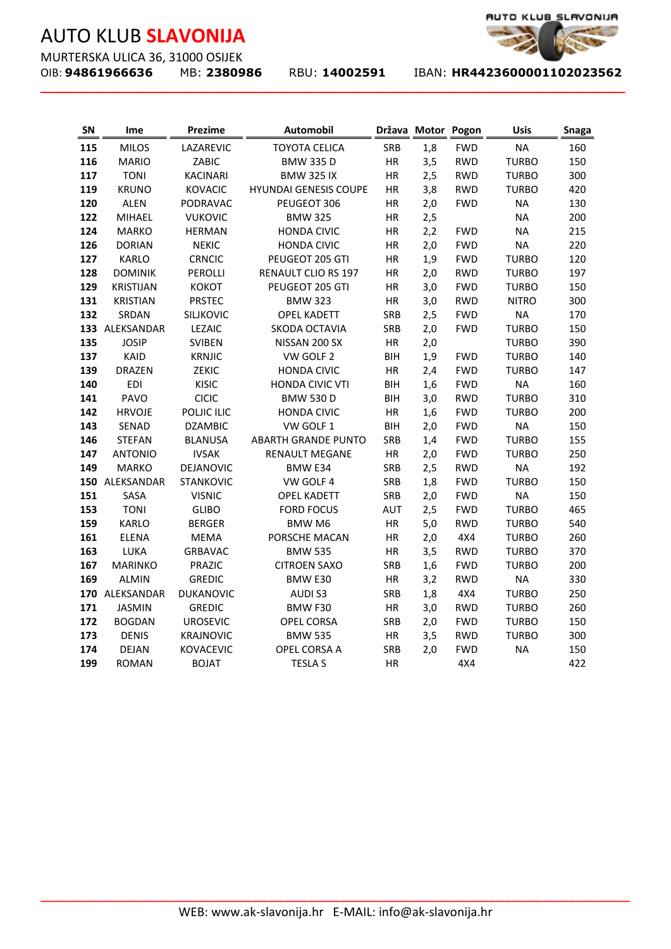MURTERSKA ULICA 36, 31000 OSIJEK<br>OIB: **94861966636** MB: 2380986

**\_\_\_\_\_\_\_\_\_\_\_\_\_\_\_\_\_\_\_\_\_\_\_\_\_\_\_\_\_\_\_\_\_\_\_\_\_\_\_\_\_\_\_\_\_\_\_\_\_\_\_\_\_\_\_\_\_\_\_\_\_\_\_\_\_\_\_\_\_\_\_\_\_**

OIB: **94861966636** MB: **2380986** RBU: **14002591** IBAN: **HR4423600001102023562** 

AUTO KLUB\_SLAVONIJA

| <b>SN</b>  | Ime                           | <b>Prezime</b>                   | <b>Automobil</b>                                      |                  | Država Motor Pogon |                          | <b>Usis</b>                  | <b>Snaga</b> |
|------------|-------------------------------|----------------------------------|-------------------------------------------------------|------------------|--------------------|--------------------------|------------------------------|--------------|
| 115        | <b>MILOS</b>                  | LAZAREVIC                        | <b>TOYOTA CELICA</b>                                  | SRB              | 1,8                | <b>FWD</b>               | <b>NA</b>                    | 160          |
| 116        | <b>MARIO</b>                  | ZABIC                            | <b>BMW 335 D</b>                                      | HR               | 3,5                | <b>RWD</b>               | <b>TURBO</b>                 | 150          |
| 117        | <b>TONI</b>                   | <b>KACINARI</b>                  | <b>BMW 325 IX</b>                                     | HR               | 2,5                | <b>RWD</b>               | <b>TURBO</b>                 | 300          |
| 119        | <b>KRUNO</b>                  | <b>KOVACIC</b>                   | <b>HYUNDAI GENESIS COUPE</b>                          | HR               | 3,8                | <b>RWD</b>               | <b>TURBO</b>                 | 420          |
| 120        | <b>ALEN</b>                   | PODRAVAC                         | PEUGEOT 306                                           | HR               | 2,0                | <b>FWD</b>               | <b>NA</b>                    | 130          |
| 122        | <b>MIHAEL</b>                 | <b>VUKOVIC</b>                   | <b>BMW 325</b>                                        | HR               | 2,5                |                          | <b>NA</b>                    | 200          |
| 124        | <b>MARKO</b>                  | <b>HERMAN</b>                    | <b>HONDA CIVIC</b>                                    | HR               | 2,2                | <b>FWD</b>               | <b>NA</b>                    | 215          |
| 126        | <b>DORIAN</b>                 | <b>NEKIC</b>                     | <b>HONDA CIVIC</b>                                    | HR               | 2,0                | <b>FWD</b>               | <b>NA</b>                    | 220          |
| 127        | <b>KARLO</b>                  | <b>CRNCIC</b>                    | PEUGEOT 205 GTI                                       | HR               | 1,9                | <b>FWD</b>               | <b>TURBO</b>                 | 120          |
| 128        | <b>DOMINIK</b>                | PEROLLI                          | RENAULT CLIO RS 197                                   | HR               | 2,0                | <b>RWD</b>               | <b>TURBO</b>                 | 197          |
| 129        | <b>KRISTIJAN</b>              | КОКОТ                            | PEUGEOT 205 GTI                                       | HR               | 3,0                | <b>FWD</b>               | <b>TURBO</b>                 | 150          |
| 131        | <b>KRISTIAN</b>               | <b>PRSTEC</b>                    | <b>BMW 323</b>                                        | HR               | 3,0                | <b>RWD</b>               | <b>NITRO</b>                 | 300          |
| 132        | SRDAN                         | <b>SILIKOVIC</b>                 | <b>OPEL KADETT</b>                                    | <b>SRB</b>       | 2,5                | <b>FWD</b>               | <b>NA</b>                    | 170          |
|            | 133 ALEKSANDAR                | <b>LEZAIC</b>                    | SKODA OCTAVIA                                         | <b>SRB</b>       | 2,0                | <b>FWD</b>               | <b>TURBO</b>                 | 150          |
| 135        | <b>JOSIP</b>                  | <b>SVIBEN</b>                    | NISSAN 200 SX                                         | HR               | 2,0                |                          | <b>TURBO</b>                 | 390          |
| 137        | KAID                          | <b>KRNJIC</b>                    | VW GOLF 2                                             | <b>BIH</b>       | 1,9                | <b>FWD</b>               | <b>TURBO</b>                 | 140          |
| 139        | <b>DRAZEN</b>                 | ZEKIC                            | <b>HONDA CIVIC</b>                                    | HR               | 2,4                | <b>FWD</b>               | <b>TURBO</b>                 | 147          |
| 140        | <b>EDI</b>                    | <b>KISIC</b>                     | HONDA CIVIC VTI                                       | <b>BIH</b>       | 1,6                | <b>FWD</b>               | <b>NA</b>                    | 160          |
| 141        | PAVO                          | CICIC                            | <b>BMW 530 D</b>                                      | <b>BIH</b>       | 3,0                | <b>RWD</b>               | <b>TURBO</b>                 | 310          |
| 142        | <b>HRVOJE</b>                 | POLJIC ILIC                      | <b>HONDA CIVIC</b>                                    | HR               | 1,6                | <b>FWD</b>               | <b>TURBO</b>                 | 200          |
| 143        | SENAD                         | <b>DZAMBIC</b>                   | VW GOLF 1                                             | <b>BIH</b>       | 2,0                | <b>FWD</b>               | <b>NA</b>                    | 150          |
| 146        | <b>STEFAN</b>                 | <b>BLANUSA</b>                   | <b>ABARTH GRANDE PUNTO</b>                            | <b>SRB</b>       | 1,4                | <b>FWD</b>               | <b>TURBO</b>                 | 155          |
| 147        | <b>ANTONIO</b>                | <b>IVSAK</b>                     | <b>RENAULT MEGANE</b>                                 | HR               | 2,0                | <b>FWD</b>               | <b>TURBO</b>                 | 250          |
| 149        | <b>MARKO</b>                  | DEJANOVIC                        | BMW E34                                               | SRB              | 2,5                | <b>RWD</b>               | <b>NA</b>                    | 192          |
|            | 150 ALEKSANDAR                | <b>STANKOVIC</b>                 | VW GOLF 4                                             | SRB              | 1,8                | <b>FWD</b>               | <b>TURBO</b>                 | 150          |
| 151        | SASA                          | <b>VISNIC</b>                    | <b>OPEL KADETT</b>                                    | SRB              | 2,0                | <b>FWD</b>               | <b>NA</b>                    | 150          |
| 153        | <b>TONI</b>                   | <b>GLIBO</b>                     | <b>FORD FOCUS</b>                                     | <b>AUT</b>       | 2,5                | <b>FWD</b>               | <b>TURBO</b>                 | 465          |
| 159        | <b>KARLO</b>                  | <b>BERGER</b>                    | <b>BMW M6</b>                                         | HR               | 5,0                | <b>RWD</b>               | <b>TURBO</b>                 | 540          |
| 161        | <b>ELENA</b>                  | <b>MEMA</b>                      | PORSCHE MACAN                                         | HR               | 2,0                | 4X4                      | <b>TURBO</b>                 | 260          |
| 163        | LUKA                          | <b>GRBAVAC</b>                   | <b>BMW 535</b>                                        | HR               | 3,5                | <b>RWD</b>               | <b>TURBO</b>                 | 370          |
| 167        | <b>MARINKO</b>                | PRAZIC                           | <b>CITROEN SAXO</b>                                   | SRB              | 1,6                | <b>FWD</b>               | <b>TURBO</b>                 | 200          |
| 169        | <b>ALMIN</b>                  | <b>GREDIC</b>                    | BMW E30                                               | HR               | 3,2                | <b>RWD</b>               | <b>NA</b>                    | 330          |
|            | 170 ALEKSANDAR                | <b>DUKANOVIC</b>                 | AUDI S3                                               | SRB              | 1,8                | 4X4                      | <b>TURBO</b>                 | 250          |
| 171<br>172 | <b>JASMIN</b>                 | <b>GREDIC</b><br><b>UROSEVIC</b> | BMW F30<br><b>OPEL CORSA</b>                          | HR<br><b>SRB</b> | 3,0<br>2,0         | <b>RWD</b><br><b>FWD</b> | <b>TURBO</b><br><b>TURBO</b> | 260<br>150   |
| 173        | <b>BOGDAN</b><br><b>DENIS</b> | KRAJNOVIC                        | <b>BMW 535</b>                                        | HR               | 3,5                | <b>RWD</b>               | <b>TURBO</b>                 | 300          |
| 174        | <b>DEJAN</b>                  | KOVACEVIC                        | OPEL CORSA A                                          | SRB              | 2,0                | <b>FWD</b>               | <b>NA</b>                    | 150          |
| 199        | <b>ROMAN</b>                  | <b>BOJAT</b>                     | <b>TESLA S</b>                                        | HR               |                    | 4X4                      |                              | 422          |
|            |                               |                                  |                                                       |                  |                    |                          |                              |              |
|            |                               |                                  |                                                       |                  |                    |                          |                              |              |
|            |                               |                                  | WEB: www.ak-slavonija.hr E-MAIL: info@ak-slavonija.hr |                  |                    |                          |                              |              |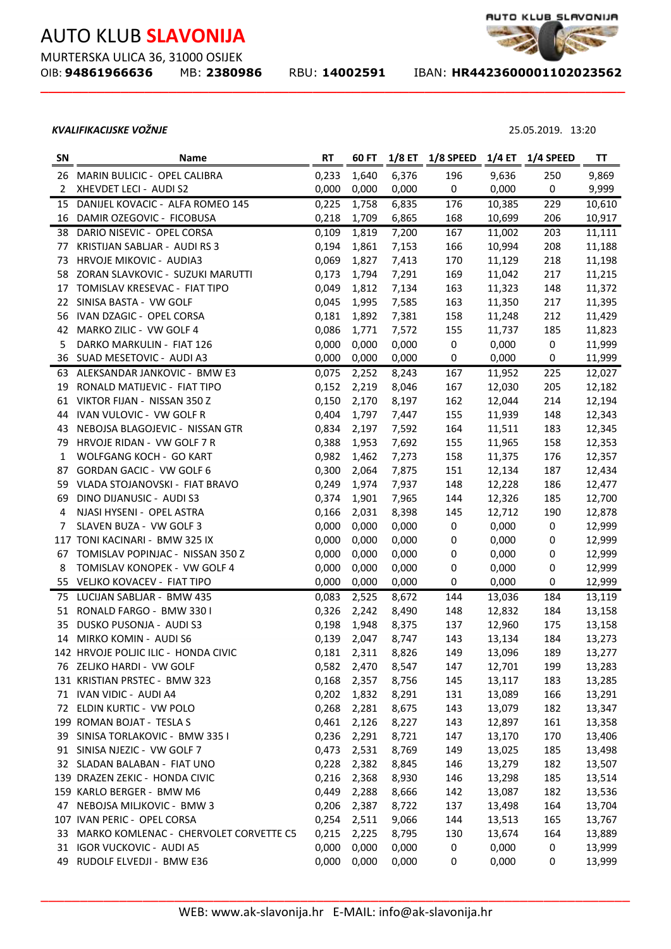MURTERSKA ULICA 36, 31000 OSIJEK<br>OIB: **94861966636** MB: 23809

**\_\_\_\_\_\_\_\_\_\_\_\_\_\_\_\_\_\_\_\_\_\_\_\_\_\_\_\_\_\_\_\_\_\_\_\_\_\_\_\_\_\_\_\_\_\_\_\_\_\_\_\_\_\_\_\_\_\_\_\_\_\_\_\_\_\_\_\_\_\_\_\_\_**

OIB: **94861966636** MB: **2380986** RBU: **14002591** IBAN: **HR4423600001102023562** 

### *KVALIFIKACIJSKE VOŽNJE* 25.05.2019. 13:20

| SN           | Name                                      | <b>RT</b> | 60 FT | $1/8$ ET | 1/8 SPEED        | 1/4 ET | 1/4 SPEED | TT     |
|--------------|-------------------------------------------|-----------|-------|----------|------------------|--------|-----------|--------|
| 26           | MARIN BULICIC - OPEL CALIBRA              | 0,233     | 1,640 | 6,376    | 196              | 9,636  | 250       | 9,869  |
| $\mathbf{2}$ | XHEVDET LECI - AUDI S2                    | 0,000     | 0,000 | 0,000    | 0                | 0,000  | 0         | 9,999  |
| 15           | DANIJEL KOVACIC - ALFA ROMEO 145          | 0,225     | 1,758 | 6,835    | 176              | 10,385 | 229       | 10,610 |
|              | 16 DAMIR OZEGOVIC - FICOBUSA              | 0,218     | 1,709 | 6,865    | 168              | 10,699 | 206       | 10,917 |
|              | 38 DARIO NISEVIC - OPEL CORSA             | 0,109     | 1,819 | 7,200    | 167              | 11,002 | 203       | 11,111 |
| 77           | KRISTIJAN SABLJAR - AUDI RS 3             | 0,194     | 1,861 | 7,153    | 166              | 10,994 | 208       | 11,188 |
| 73           | HRVOJE MIKOVIC - AUDIA3                   | 0,069     | 1,827 | 7,413    | 170              | 11,129 | 218       | 11,198 |
| 58           | ZORAN SLAVKOVIC - SUZUKI MARUTTI          | 0,173     | 1,794 | 7,291    | 169              | 11,042 | 217       | 11,215 |
| 17           | TOMISLAV KRESEVAC - FIAT TIPO             | 0,049     | 1,812 | 7,134    | 163              | 11,323 | 148       | 11,372 |
| 22           | SINISA BASTA - VW GOLF                    | 0,045     | 1,995 | 7,585    | 163              | 11,350 | 217       | 11,395 |
| 56           | IVAN DZAGIC - OPEL CORSA                  | 0,181     | 1,892 | 7,381    | 158              | 11,248 | 212       | 11,429 |
| 42           | MARKO ZILIC - VW GOLF 4                   | 0,086     | 1,771 | 7,572    | 155              | 11,737 | 185       | 11,823 |
| 5            | DARKO MARKULIN - FIAT 126                 | 0,000     | 0,000 | 0,000    | $\pmb{0}$        | 0,000  | $\pmb{0}$ | 11,999 |
| 36           | SUAD MESETOVIC - AUDI A3                  | 0,000     | 0,000 | 0,000    | 0                | 0,000  | 0         | 11,999 |
|              | 63 ALEKSANDAR JANKOVIC - BMW E3           | 0,075     | 2,252 | 8,243    | 167              | 11,952 | 225       | 12,027 |
| 19           | RONALD MATIJEVIC - FIAT TIPO              | 0,152     | 2,219 | 8,046    | 167              | 12,030 | 205       | 12,182 |
|              | 61 VIKTOR FIJAN - NISSAN 350 Z            | 0,150     | 2,170 | 8,197    | 162              | 12,044 | 214       | 12,194 |
|              | 44 IVAN VULOVIC - VW GOLF R               | 0,404     | 1,797 | 7,447    | 155              | 11,939 | 148       | 12,343 |
|              | 43 NEBOJSA BLAGOJEVIC - NISSAN GTR        | 0,834     | 2,197 | 7,592    | 164              | 11,511 | 183       | 12,345 |
|              | 79 HRVOJE RIDAN - VW GOLF 7 R             | 0,388     | 1,953 | 7,692    | 155              | 11,965 | 158       | 12,353 |
| $\mathbf{1}$ | WOLFGANG KOCH - GO KART                   | 0,982     | 1,462 | 7,273    | 158              | 11,375 | 176       | 12,357 |
| 87           | GORDAN GACIC - VW GOLF 6                  | 0,300     | 2,064 | 7,875    | 151              | 12,134 | 187       | 12,434 |
|              | 59 VLADA STOJANOVSKI - FIAT BRAVO         | 0,249     | 1,974 | 7,937    | 148              | 12,228 | 186       | 12,477 |
| 69           | DINO DIJANUSIC - AUDI S3                  | 0,374     | 1,901 | 7,965    | 144              | 12,326 | 185       | 12,700 |
| 4            | NJASI HYSENI - OPEL ASTRA                 | 0,166     | 2,031 | 8,398    | 145              | 12,712 | 190       | 12,878 |
| 7            | SLAVEN BUZA - VW GOLF 3                   | 0,000     | 0,000 | 0,000    | $\pmb{0}$        | 0,000  | $\pmb{0}$ | 12,999 |
|              | 117 TONI KACINARI - BMW 325 IX            | 0,000     | 0,000 | 0,000    | 0                | 0,000  | 0         | 12,999 |
| 67           | TOMISLAV POPINJAC - NISSAN 350 Z          | 0,000     | 0,000 | 0,000    | $\boldsymbol{0}$ | 0,000  | 0         | 12,999 |
| 8            | TOMISLAV KONOPEK - VW GOLF 4              | 0,000     | 0,000 | 0,000    | 0                | 0,000  | 0         | 12,999 |
|              | 55 VELJKO KOVACEV - FIAT TIPO             | 0,000     | 0,000 | 0,000    | $\pmb{0}$        | 0,000  | 0         | 12,999 |
|              | 75 LUCIJAN SABLJAR - BMW 435              | 0,083     | 2,525 | 8,672    | 144              | 13,036 | 184       | 13,119 |
|              | 51 RONALD FARGO - BMW 330 I               | 0,326     | 2,242 | 8,490    | 148              | 12,832 | 184       | 13,158 |
| 35           | DUSKO PUSONJA - AUDI S3                   | 0,198     | 1,948 | 8,375    | 137              | 12,960 | 175       | 13,158 |
| 14           | MIRKO KOMIN - AUDI S6                     | 0,139     | 2,047 | 8,747    | 143              | 13,134 | 184       | 13,273 |
|              | 142 HRVOJE POLJIC ILIC - HONDA CIVIC      | 0,181     | 2,311 | 8,826    | 149              | 13,096 | 189       | 13,277 |
|              | 76 ZELJKO HARDI - VW GOLF                 | 0,582     | 2,470 | 8,547    | 147              | 12,701 | 199       | 13,283 |
|              | 131 KRISTIAN PRSTEC - BMW 323             | 0,168     | 2,357 | 8,756    | 145              | 13,117 | 183       | 13,285 |
|              | 71 IVAN VIDIC - AUDI A4                   | 0,202     | 1,832 | 8,291    | 131              | 13,089 | 166       | 13,291 |
|              | 72 ELDIN KURTIC - VW POLO                 | 0,268     | 2,281 | 8,675    | 143              | 13,079 | 182       | 13,347 |
|              | 199 ROMAN BOJAT - TESLA S                 | 0,461     | 2,126 | 8,227    | 143              | 12,897 | 161       | 13,358 |
|              | 39 SINISA TORLAKOVIC - BMW 335 I          | 0,236     | 2,291 | 8,721    | 147              | 13,170 | 170       | 13,406 |
|              | 91 SINISA NJEZIC - VW GOLF 7              | 0,473     | 2,531 | 8,769    | 149              | 13,025 | 185       | 13,498 |
|              | 32 SLADAN BALABAN - FIAT UNO              | 0,228     | 2,382 | 8,845    | 146              | 13,279 | 182       | 13,507 |
|              | 139 DRAZEN ZEKIC - HONDA CIVIC            | 0,216     | 2,368 | 8,930    | 146              | 13,298 | 185       | 13,514 |
|              | 159 KARLO BERGER - BMW M6                 | 0,449     | 2,288 | 8,666    | 142              | 13,087 | 182       | 13,536 |
|              | 47 NEBOJSA MILJKOVIC - BMW 3              | 0,206     | 2,387 | 8,722    | 137              | 13,498 | 164       | 13,704 |
|              | 107 IVAN PERIC - OPEL CORSA               | 0,254     | 2,511 | 9,066    | 144              | 13,513 | 165       | 13,767 |
|              | 33 MARKO KOMLENAC - CHERVOLET CORVETTE C5 | 0,215     | 2,225 | 8,795    | 130              | 13,674 | 164       | 13,889 |
|              | 31 IGOR VUCKOVIC - AUDI A5                | 0,000     | 0,000 | 0,000    | 0                | 0,000  | 0         | 13,999 |
|              | 49 RUDOLF ELVEDJI - BMW E36               | 0,000     | 0,000 | 0,000    | 0                | 0,000  | 0         | 13,999 |
|              |                                           |           |       |          |                  |        |           |        |

AUTO KLUB\_SLAVONIJA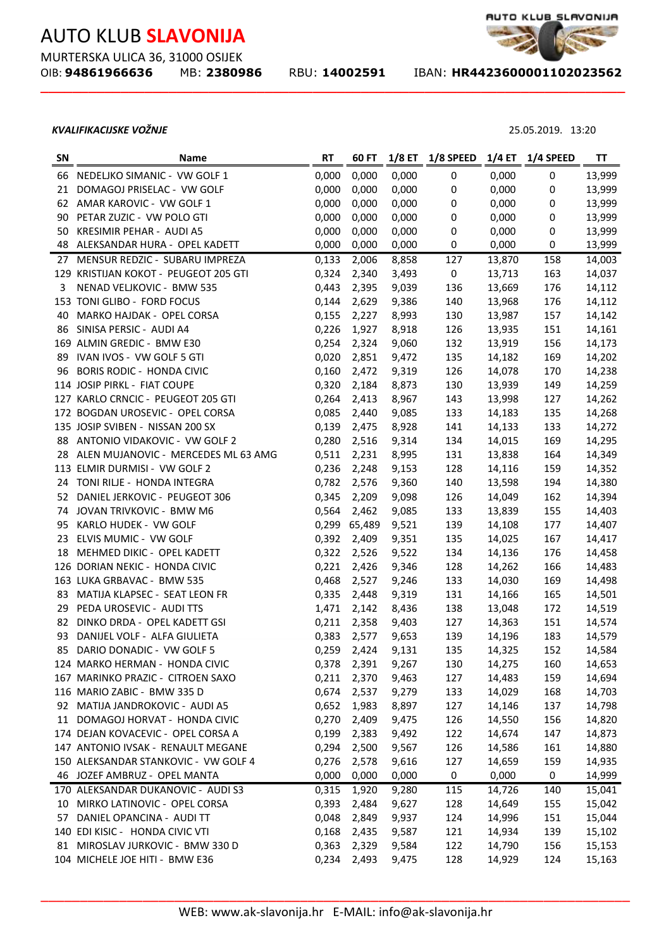MURTERSKA ULICA 36, 31000 OSIJEK

**\_\_\_\_\_\_\_\_\_\_\_\_\_\_\_\_\_\_\_\_\_\_\_\_\_\_\_\_\_\_\_\_\_\_\_\_\_\_\_\_\_\_\_\_\_\_\_\_\_\_\_\_\_\_\_\_\_\_\_\_\_\_\_\_\_\_\_\_\_\_\_\_\_**

OIB: **94861966636** MB: **2380986** RBU: **14002591** IBAN: **HR4423600001102023562** 

### *KVALIFIKACIJSKE VOŽNJE* 25.05.2019. 13:20

Ĭ.

| <b>SN</b> | Name                                   | <b>RT</b> | 60 FT       | $1/8$ ET | 1/8 SPEED | $1/4$ ET | 1/4 SPEED | ΤT     |
|-----------|----------------------------------------|-----------|-------------|----------|-----------|----------|-----------|--------|
| 66        | NEDELJKO SIMANIC - VW GOLF 1           | 0,000     | 0,000       | 0,000    | 0         | 0,000    | 0         | 13,999 |
| 21        | DOMAGOJ PRISELAC - VW GOLF             | 0,000     | 0,000       | 0,000    | $\pmb{0}$ | 0,000    | 0         | 13,999 |
|           | 62 AMAR KAROVIC - VW GOLF 1            | 0,000     | 0,000       | 0,000    | $\pmb{0}$ | 0,000    | 0         | 13,999 |
|           | 90 PETAR ZUZIC - VW POLO GTI           | 0,000     | 0,000       | 0,000    | $\pmb{0}$ | 0,000    | $\pmb{0}$ | 13,999 |
|           | 50 KRESIMIR PEHAR - AUDI A5            | 0,000     | 0,000       | 0,000    | 0         | 0,000    | 0         | 13,999 |
|           | 48 ALEKSANDAR HURA - OPEL KADETT       | 0,000     | 0,000       | 0,000    | 0         | 0,000    | 0         | 13,999 |
|           | 27 MENSUR REDZIC - SUBARU IMPREZA      | 0,133     | 2,006       | 8,858    | 127       | 13,870   | 158       | 14,003 |
|           | 129 KRISTIJAN KOKOT - PEUGEOT 205 GTI  | 0,324     | 2,340       | 3,493    | $\pmb{0}$ | 13,713   | 163       | 14,037 |
| 3         | NENAD VELJKOVIC - BMW 535              | 0,443     | 2,395       | 9,039    | 136       | 13,669   | 176       | 14,112 |
|           | 153 TONI GLIBO - FORD FOCUS            | 0,144     | 2,629       | 9,386    | 140       | 13,968   | 176       | 14,112 |
| 40        | MARKO HAJDAK - OPEL CORSA              | 0,155     | 2,227       | 8,993    | 130       | 13,987   | 157       | 14,142 |
| 86        | SINISA PERSIC - AUDI A4                | 0,226     | 1,927       | 8,918    | 126       | 13,935   | 151       | 14,161 |
|           | 169 ALMIN GREDIC - BMW E30             | 0,254     | 2,324       | 9,060    | 132       | 13,919   | 156       | 14,173 |
|           | 89 IVAN IVOS - VW GOLF 5 GTI           | 0,020     | 2,851       | 9,472    | 135       | 14,182   | 169       | 14,202 |
| 96        | <b>BORIS RODIC - HONDA CIVIC</b>       | 0,160     | 2,472       | 9,319    | 126       | 14,078   | 170       | 14,238 |
|           | 114 JOSIP PIRKL - FIAT COUPE           | 0,320     | 2,184       | 8,873    | 130       | 13,939   | 149       | 14,259 |
|           | 127 KARLO CRNCIC - PEUGEOT 205 GTI     | 0,264     | 2,413       | 8,967    | 143       | 13,998   | 127       | 14,262 |
|           | 172 BOGDAN UROSEVIC - OPEL CORSA       | 0,085     | 2,440       | 9,085    | 133       | 14,183   | 135       | 14,268 |
|           | 135 JOSIP SVIBEN - NISSAN 200 SX       | 0,139     | 2,475       | 8,928    | 141       | 14,133   | 133       | 14,272 |
|           | 88 ANTONIO VIDAKOVIC - VW GOLF 2       | 0,280     | 2,516       | 9,314    | 134       | 14,015   | 169       | 14,295 |
|           | 28 ALEN MUJANOVIC - MERCEDES ML 63 AMG | 0,511     | 2,231       | 8,995    | 131       | 13,838   | 164       | 14,349 |
|           | 113 ELMIR DURMISI - VW GOLF 2          | 0,236     | 2,248       | 9,153    | 128       | 14,116   | 159       | 14,352 |
|           | 24 TONI RILJE - HONDA INTEGRA          | 0,782     | 2,576       | 9,360    | 140       | 13,598   | 194       | 14,380 |
|           | 52 DANIEL JERKOVIC - PEUGEOT 306       | 0,345     | 2,209       | 9,098    | 126       | 14,049   | 162       | 14,394 |
|           | 74 JOVAN TRIVKOVIC - BMW M6            | 0,564     | 2,462       | 9,085    | 133       | 13,839   | 155       | 14,403 |
|           | 95 KARLO HUDEK - VW GOLF               | 0,299     | 65,489      | 9,521    | 139       | 14,108   | 177       | 14,407 |
| 23        | ELVIS MUMIC - VW GOLF                  | 0,392     | 2,409       | 9,351    | 135       | 14,025   | 167       | 14,417 |
| 18        | MEHMED DIKIC - OPEL KADETT             | 0,322     | 2,526       | 9,522    | 134       | 14,136   | 176       | 14,458 |
|           | 126 DORIAN NEKIC - HONDA CIVIC         | 0,221     | 2,426       | 9,346    | 128       | 14,262   | 166       | 14,483 |
|           | 163 LUKA GRBAVAC - BMW 535             | 0,468     | 2,527       | 9,246    | 133       | 14,030   | 169       | 14,498 |
| 83        | MATIJA KLAPSEC - SEAT LEON FR          | 0,335     | 2,448       | 9,319    | 131       | 14,166   | 165       | 14,501 |
| 29        | PEDA UROSEVIC - AUDI TTS               | 1,471     | 2,142       | 8,436    | 138       | 13,048   | 172       | 14,519 |
| 82        | DINKO DRDA - OPEL KADETT GSI           | 0,211     | 2,358       | 9,403    | 127       | 14,363   | 151       | 14,574 |
| 93        | DANIJEL VOLF - ALFA GIULIETA           | 0,383     | 2,577       | 9,653    | 139       | 14,196   | 183       | 14,579 |
| 85        | DARIO DONADIC - VW GOLF 5              | 0,259     | 2,424       | 9,131    | 135       | 14,325   | 152       | 14,584 |
|           | 124 MARKO HERMAN - HONDA CIVIC         | 0,378     | 2,391       | 9,267    | 130       | 14,275   | 160       | 14,653 |
|           | 167 MARINKO PRAZIC - CITROEN SAXO      | 0,211     | 2,370       | 9,463    | 127       | 14,483   | 159       | 14,694 |
|           | 116 MARIO ZABIC - BMW 335 D            | 0,674     | 2,537       | 9,279    | 133       | 14,029   | 168       | 14,703 |
|           | 92 MATIJA JANDROKOVIC - AUDI A5        | 0,652     | 1,983       | 8,897    | 127       | 14,146   | 137       | 14,798 |
|           | 11 DOMAGOJ HORVAT - HONDA CIVIC        | 0,270     | 2,409       | 9,475    | 126       | 14,550   | 156       | 14,820 |
|           | 174 DEJAN KOVACEVIC - OPEL CORSA A     | 0,199     | 2,383       | 9,492    | 122       | 14,674   | 147       | 14,873 |
|           | 147 ANTONIO IVSAK - RENAULT MEGANE     | 0,294     | 2,500       | 9,567    | 126       | 14,586   | 161       | 14,880 |
|           | 150 ALEKSANDAR STANKOVIC - VW GOLF 4   | 0,276     | 2,578       | 9,616    | 127       | 14,659   | 159       | 14,935 |
|           | 46 JOZEF AMBRUZ - OPEL MANTA           | 0,000     | 0,000       | 0,000    | 0         | 0,000    | 0         | 14,999 |
|           | 170 ALEKSANDAR DUKANOVIC - AUDI S3     | 0,315     | 1,920       | 9,280    | 115       | 14,726   | 140       | 15,041 |
| 10        | MIRKO LATINOVIC - OPEL CORSA           | 0,393     | 2,484       | 9,627    | 128       | 14,649   | 155       | 15,042 |
| 57        | DANIEL OPANCINA - AUDI TT              | 0,048     | 2,849       | 9,937    | 124       | 14,996   | 151       | 15,044 |
|           | 140 EDI KISIC - HONDA CIVIC VTI        | 0,168     | 2,435       | 9,587    | 121       | 14,934   | 139       | 15,102 |
|           | 81 MIROSLAV JURKOVIC - BMW 330 D       |           | 0,363 2,329 | 9,584    | 122       | 14,790   | 156       | 15,153 |



MICHELE JOE HITI - BMW E36 0,234 2,493 9,475 128 14,929 124 15,163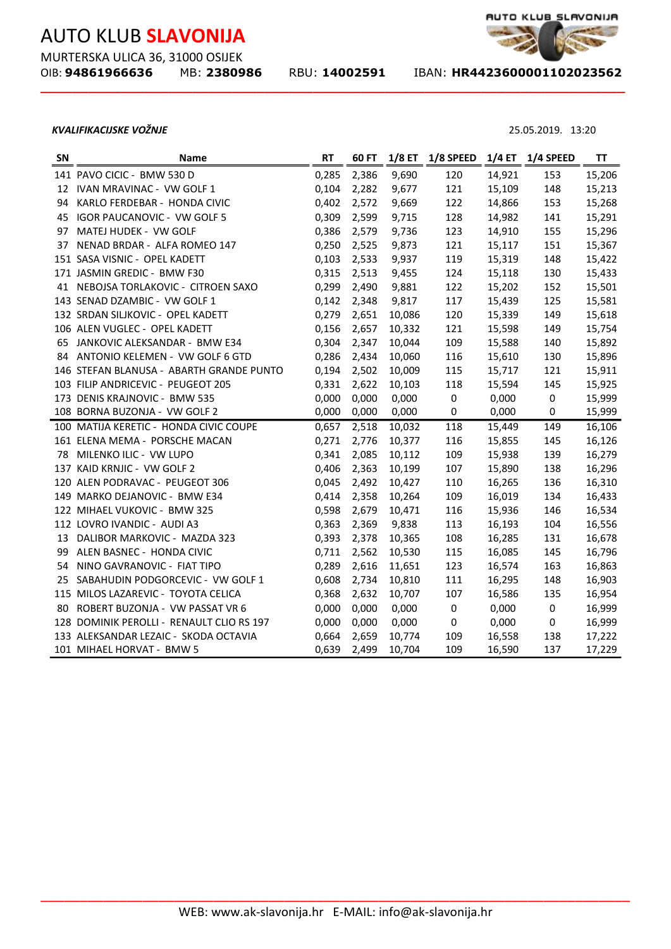MURTERSKA ULICA 36, 31000 OSIJEK<br>OIB: **94861966636** MB: 23809

**\_\_\_\_\_\_\_\_\_\_\_\_\_\_\_\_\_\_\_\_\_\_\_\_\_\_\_\_\_\_\_\_\_\_\_\_\_\_\_\_\_\_\_\_\_\_\_\_\_\_\_\_\_\_\_\_\_\_\_\_\_\_\_\_\_\_\_\_\_\_\_\_\_**

OIB: **94861966636** MB: **2380986** RBU: **14002591** IBAN: **HR4423600001102023562** 

#### *KVALIFIKACIJSKE VOŽNJE* 25.05.2019. 13:20

| SN | <b>Name</b>                               | <b>RT</b> | 60 FT |        | 1/8 ET 1/8 SPEED |        | 1/4 ET 1/4 SPEED | ΤT     |
|----|-------------------------------------------|-----------|-------|--------|------------------|--------|------------------|--------|
|    | 141 PAVO CICIC - BMW 530 D                | 0,285     | 2,386 | 9,690  | 120              | 14,921 | 153              | 15,206 |
|    | 12 IVAN MRAVINAC - VW GOLF 1              | 0,104     | 2,282 | 9,677  | 121              | 15,109 | 148              | 15,213 |
| 94 | KARLO FERDEBAR - HONDA CIVIC              | 0,402     | 2,572 | 9,669  | 122              | 14,866 | 153              | 15,268 |
| 45 | IGOR PAUCANOVIC - VW GOLF 5               | 0,309     | 2,599 | 9,715  | 128              | 14,982 | 141              | 15,291 |
| 97 | MATEJ HUDEK - VW GOLF                     | 0,386     | 2,579 | 9,736  | 123              | 14,910 | 155              | 15,296 |
| 37 | NENAD BRDAR - ALFA ROMEO 147              | 0,250     | 2,525 | 9,873  | 121              | 15,117 | 151              | 15,367 |
|    | 151 SASA VISNIC - OPEL KADETT             | 0,103     | 2,533 | 9,937  | 119              | 15,319 | 148              | 15,422 |
|    | 171 JASMIN GREDIC - BMW F30               | 0,315     | 2,513 | 9,455  | 124              | 15,118 | 130              | 15,433 |
|    | 41 NEBOJSA TORLAKOVIC - CITROEN SAXO      | 0,299     | 2,490 | 9,881  | 122              | 15,202 | 152              | 15,501 |
|    | 143 SENAD DZAMBIC - VW GOLF 1             | 0,142     | 2,348 | 9,817  | 117              | 15,439 | 125              | 15,581 |
|    | 132 SRDAN SILJKOVIC - OPEL KADETT         | 0,279     | 2,651 | 10,086 | 120              | 15,339 | 149              | 15,618 |
|    | 106 ALEN VUGLEC - OPEL KADETT             | 0,156     | 2,657 | 10,332 | 121              | 15,598 | 149              | 15,754 |
|    | 65 JANKOVIC ALEKSANDAR - BMW E34          | 0,304     | 2,347 | 10,044 | 109              | 15,588 | 140              | 15,892 |
|    | 84 ANTONIO KELEMEN - VW GOLF 6 GTD        | 0,286     | 2,434 | 10,060 | 116              | 15,610 | 130              | 15,896 |
|    | 146 STEFAN BLANUSA - ABARTH GRANDE PUNTO  | 0,194     | 2,502 | 10,009 | 115              | 15,717 | 121              | 15,911 |
|    | 103 FILIP ANDRICEVIC - PEUGEOT 205        | 0,331     | 2,622 | 10,103 | 118              | 15,594 | 145              | 15,925 |
|    | 173 DENIS KRAJNOVIC - BMW 535             | 0,000     | 0,000 | 0,000  | $\pmb{0}$        | 0,000  | $\pmb{0}$        | 15,999 |
|    | 108 BORNA BUZONJA - VW GOLF 2             | 0,000     | 0,000 | 0,000  | $\boldsymbol{0}$ | 0,000  | $\pmb{0}$        | 15,999 |
|    | 100 MATIJA KERETIC - HONDA CIVIC COUPE    | 0,657     | 2,518 | 10,032 | 118              | 15,449 | 149              | 16,106 |
|    | 161 ELENA MEMA - PORSCHE MACAN            | 0,271     | 2,776 | 10,377 | 116              | 15,855 | 145              | 16,126 |
|    | 78 MILENKO ILIC - VW LUPO                 | 0,341     | 2,085 | 10,112 | 109              | 15,938 | 139              | 16,279 |
|    | 137 KAID KRNJIC - VW GOLF 2               | 0,406     | 2,363 | 10,199 | 107              | 15,890 | 138              | 16,296 |
|    | 120 ALEN PODRAVAC - PEUGEOT 306           | 0,045     | 2,492 | 10,427 | 110              | 16,265 | 136              | 16,310 |
|    | 149 MARKO DEJANOVIC - BMW E34             | 0,414     | 2,358 | 10,264 | 109              | 16,019 | 134              | 16,433 |
|    | 122 MIHAEL VUKOVIC - BMW 325              | 0,598     | 2,679 | 10,471 | 116              | 15,936 | 146              | 16,534 |
|    | 112 LOVRO IVANDIC - AUDI A3               | 0,363     | 2,369 | 9,838  | 113              | 16,193 | 104              | 16,556 |
|    | 13 DALIBOR MARKOVIC - MAZDA 323           | 0,393     | 2,378 | 10,365 | 108              | 16,285 | 131              | 16,678 |
|    | 99 ALEN BASNEC - HONDA CIVIC              | 0,711     | 2,562 | 10,530 | 115              | 16,085 | 145              | 16,796 |
| 54 | NINO GAVRANOVIC - FIAT TIPO               | 0,289     | 2,616 | 11,651 | 123              | 16,574 | 163              | 16,863 |
| 25 | SABAHUDIN PODGORCEVIC - VW GOLF 1         | 0,608     | 2,734 | 10,810 | 111              | 16,295 | 148              | 16,903 |
|    | 115 MILOS LAZAREVIC - TOYOTA CELICA       | 0,368     | 2,632 | 10,707 | 107              | 16,586 | 135              | 16,954 |
| 80 | ROBERT BUZONJA - VW PASSAT VR 6           | 0,000     | 0,000 | 0,000  | $\boldsymbol{0}$ | 0,000  | $\pmb{0}$        | 16,999 |
|    | 128 DOMINIK PEROLLI - RENAULT CLIO RS 197 | 0,000     | 0,000 | 0,000  | $\pmb{0}$        | 0,000  | 0                | 16,999 |
|    | 133 ALEKSANDAR LEZAIC - SKODA OCTAVIA     | 0,664     | 2,659 | 10,774 | 109              | 16,558 | 138              | 17,222 |
|    | 101 MIHAEL HORVAT - BMW 5                 | 0,639     | 2,499 | 10,704 | 109              | 16,590 | 137              | 17,229 |

AUTO KLUB\_SLAVONIJA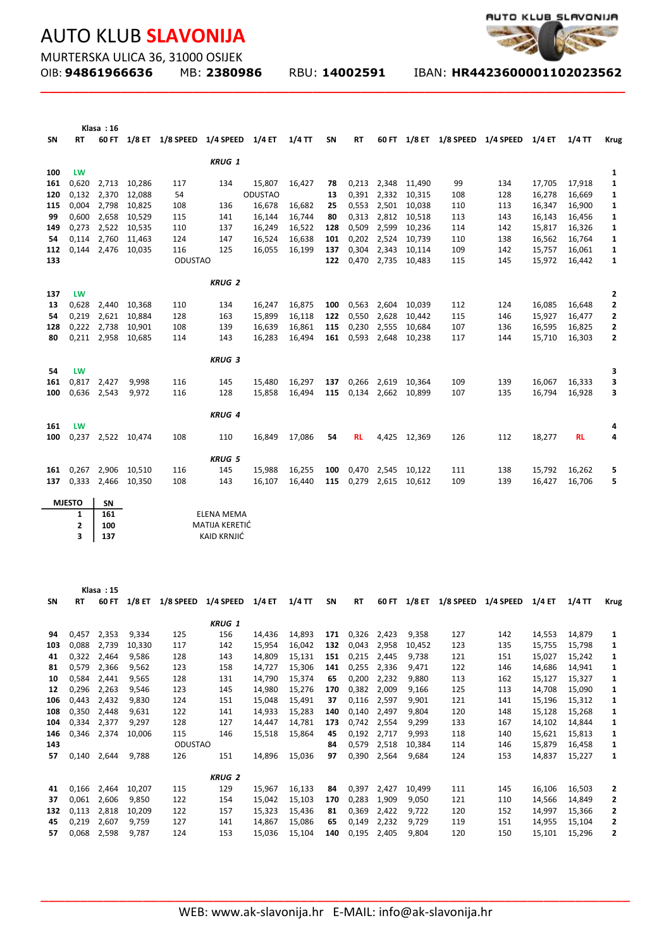**Klasa : 16**



MURTERSKA ULICA 36, 31000 OSIJEK<br>OIB: **94861966636** MB: 2380986

**\_\_\_\_\_\_\_\_\_\_\_\_\_\_\_\_\_\_\_\_\_\_\_\_\_\_\_\_\_\_\_\_\_\_\_\_\_\_\_\_\_\_\_\_\_\_\_\_\_\_\_\_\_\_\_\_\_\_\_\_\_\_\_\_\_\_\_\_\_\_\_\_\_**

OIB: **94861966636** MB: **2380986** RBU: **14002591** IBAN: **HR4423600001102023562** 

| SΝ        | RT             |                |                    |                                  | 60 FT 1/8 ET 1/8 SPEED 1/4 SPEED 1/4 ET |                  | 1/4 TT           | SΝ         | RT              |                |                        |            | 60 FT 1/8 ET 1/8 SPEED 1/4 SPEED 1/4 ET |                  | 1/4 TT           | <b>Krug</b> |
|-----------|----------------|----------------|--------------------|----------------------------------|-----------------------------------------|------------------|------------------|------------|-----------------|----------------|------------------------|------------|-----------------------------------------|------------------|------------------|-------------|
|           |                |                |                    |                                  | <b>KRUG 1</b>                           |                  |                  |            |                 |                |                        |            |                                         |                  |                  |             |
| 100       | LW             |                |                    |                                  |                                         |                  |                  |            |                 |                |                        |            |                                         |                  |                  | 1           |
| 161       | 0,620          |                | 2,713 10,286       | 117                              | 134                                     | 15,807           | 16,427           | 78         |                 | 0,213 2,348    | 11,490                 | 99         | 134                                     | 17,705           | 17,918           | 1           |
| 120       | 0,132          | 2,370          | 12,088             | 54                               |                                         | <b>ODUSTAO</b>   |                  | 13         | 0,391           | 2,332          | 10,315                 | 108        | 128                                     | 16,278           | 16,669           | 1           |
| 115       | 0,004          | 2,798          | 10,825             | 108                              | 136                                     | 16,678           | 16,682           | 25         | 0,553           | 2,501          | 10,038                 | 110        | 113                                     | 16,347           | 16,900           | 1           |
| 99        | 0,600          | 2,658          | 10,529             | 115                              | 141                                     | 16,144           | 16,744           | 80         | 0,313           | 2,812          | 10,518                 | 113        | 143                                     | 16,143           | 16,456           | 1           |
| 149       | 0,273          | 2,522          | 10,535             | 110                              | 137                                     | 16,249           | 16,522           | 128        | 0,509           | 2,599          | 10,236                 | 114        | 142                                     | 15,817           | 16,326           | 1           |
| 54        | 0,114          | 2,760          | 11,463             | 124                              | 147                                     | 16,524           | 16,638           | 101        | 0,202           | 2,524          | 10,739                 | 110        | 138                                     | 16,562           | 16,764           | 1           |
| 112       |                | 0,144 2,476    | 10,035             | 116                              | 125                                     | 16,055           | 16,199           | 137        | 0,304           | 2,343          | 10,114                 | 109        | 142                                     | 15,757           | 16,061           | 1           |
| 133       |                |                |                    | <b>ODUSTAO</b>                   |                                         |                  |                  | 122        |                 | 0,470 2,735    | 10,483                 | 115        | 145                                     | 15,972           | 16,442           | 1           |
|           |                |                |                    |                                  | <b>KRUG 2</b>                           |                  |                  |            |                 |                |                        |            |                                         |                  |                  |             |
| 137       | LW             |                |                    |                                  |                                         |                  |                  |            |                 |                |                        |            |                                         |                  |                  | 2           |
| 13<br>54  | 0,628<br>0,219 | 2,440<br>2,621 | 10,368<br>10,884   | 110<br>128                       | 134<br>163                              | 16,247<br>15,899 | 16,875<br>16,118 | 100        | 0,563<br>0,550  | 2,604<br>2,628 | 10,039<br>10,442       | 112<br>115 | 124<br>146                              | 16,085<br>15,927 | 16,648<br>16,477 | 2<br>2      |
| 128       | 0,222          | 2,738          | 10,901             | 108                              | 139                                     | 16,639           | 16,861           | 122<br>115 | 0,230           | 2,555          | 10,684                 | 107        | 136                                     | 16,595           | 16,825           | 2           |
| 80        |                | 0,211 2,958    | 10,685             | 114                              | 143                                     | 16,283           | 16,494           | 161        | 0,593           | 2,648          | 10,238                 | 117        | 144                                     | 15,710           | 16,303           | 2           |
|           |                |                |                    |                                  |                                         |                  |                  |            |                 |                |                        |            |                                         |                  |                  |             |
| 54        | LW             |                |                    |                                  | <b>KRUG 3</b>                           |                  |                  |            |                 |                |                        |            |                                         |                  |                  | з           |
| 161       |                | 0,817 2,427    | 9,998              | 116                              | 145                                     | 15,480           | 16,297           | 137        | 0,266           | 2,619          | 10,364                 | 109        | 139                                     | 16,067           | 16,333           | 3           |
| 100       |                | 0,636 2,543    | 9,972              | 116                              | 128                                     | 15,858           | 16,494           |            |                 |                | 115 0,134 2,662 10,899 | 107        | 135                                     | 16,794           | 16,928           | 3           |
|           |                |                |                    |                                  |                                         |                  |                  |            |                 |                |                        |            |                                         |                  |                  |             |
| 161       | LW             |                |                    |                                  | <b>KRUG 4</b>                           |                  |                  |            |                 |                |                        |            |                                         |                  |                  | 4           |
| 100       |                |                | 0,237 2,522 10,474 | 108                              | 110                                     | 16,849           | 17,086           | 54         | <b>RL</b>       |                | 4,425 12,369           | 126        | 112                                     | 18,277           | <b>RL</b>        | 4           |
|           |                |                |                    |                                  | <b>KRUG 5</b>                           |                  |                  |            |                 |                |                        |            |                                         |                  |                  |             |
| 161       |                | 0,267 2,906    | 10,510             | 116                              | 145                                     | 15,988           | 16,255           | 100        | 0,470           | 2,545          | 10,122                 | 111        | 138                                     | 15,792           | 16,262           | 5           |
| 137       |                | 0,333 2,466    | 10,350             | 108                              | 143                                     | 16,107           | 16,440           | 115        | 0,279           |                | 2,615 10,612           | 109        | 139                                     | 16,427           | 16,706           | 5           |
|           | <b>MJESTO</b>  | SN             |                    |                                  |                                         |                  |                  |            |                 |                |                        |            |                                         |                  |                  |             |
|           | 1              | 161            |                    |                                  | ELENA MEMA                              |                  |                  |            |                 |                |                        |            |                                         |                  |                  |             |
|           | $\mathbf{2}$   | 100            |                    |                                  | MATIJA KERETIĆ                          |                  |                  |            |                 |                |                        |            |                                         |                  |                  |             |
|           | 3              | 137            |                    |                                  | KAID KRNJIĆ                             |                  |                  |            |                 |                |                        |            |                                         |                  |                  |             |
|           |                |                |                    |                                  |                                         |                  |                  |            |                 |                |                        |            |                                         |                  |                  |             |
| SΝ        | RT             | Klasa: 15      |                    | 60 FT 1/8 ET 1/8 SPEED 1/4 SPEED |                                         | 1/4 ET           | $1/4$ TT         | SN         | RT              |                |                        |            | 60 FT 1/8 ET 1/8 SPEED 1/4 SPEED 1/4 ET |                  | $1/4$ TT         | <b>Krug</b> |
|           |                |                |                    |                                  |                                         |                  |                  |            |                 |                |                        |            |                                         |                  |                  |             |
| 94        |                | 0,457 2,353    | 9,334              | 125                              | <b>KRUG 1</b><br>156                    | 14,436           | 14,893           |            | 171 0,326 2,423 |                | 9,358                  | 127        | 142                                     | 14,553           | 14,879           | 1           |
| 103       | 0,088          | 2,739          | 10,330             | 117                              | 142                                     | 15,954           | 16,042           | 132        | 0,043           | 2,958          | 10,452                 | 123        | 135                                     | 15,755           | 15,798           | 1           |
| 41        |                | 0,322 2,464    | 9,586              | 128                              | 143                                     | 14,809           | 15,131           | 151        | 0,215           | 2,445          | 9,738                  | 121        | 151                                     | 15,027           | 15,242           | 1           |
| 81        | 0,579          | 2,366          | 9,562              | 123                              | 158                                     | 14,727           | 15,306           | 141        | 0,255           | 2,336          | 9,471                  | 122        | 146                                     | 14,686           | 14,941           | 1           |
| 10        | 0,584          | 2,441          | 9,565              | 128                              | 131                                     | 14,790           | 15,374           | 65         | 0,200           | 2,232          | 9,880                  | 113        | 162                                     | 15,127           | 15,327           | 1           |
| 12        | 0,296          | 2,263          | 9,546              | 123                              | 145                                     | 14,980           | 15,276           | 170        | 0,382           | 2,009          | 9,166                  | 125        | 113                                     | 14,708           | 15,090           | 1           |
| 106       | 0,443          | 2,432          | 9,830              | 124                              | 151                                     | 15,048           | 15,491           | 37         | 0,116           | 2,597          | 9,901                  | 121        | 141                                     | 15,196           | 15,312           | 1           |
| 108       | 0,350          | 2,448          | 9,631              | 122                              | 141                                     | 14,933           | 15,283           | 140        | 0,140           | 2,497          | 9,804                  | 120        | 148                                     | 15,128           | 15,268           | 1           |
| 104       | 0,334          | 2,377          | 9,297              | 128                              | 127                                     | 14,447           | 14,781           | 173        | 0,742           | 2,554          | 9,299                  | 133        | 167                                     | 14,102           | 14,844           | 1           |
| 146       |                | 0,346 2,374    | 10,006             | 115                              | 146                                     | 15,518           | 15,864           | 45         | 0,192           | 2,717          | 9,993                  | 118        | 140                                     | 15,621           | 15,813           | 1           |
| 143       |                |                |                    | <b>ODUSTAO</b>                   |                                         |                  |                  | 84         | 0,579           | 2,518          | 10,384                 | 114        | 146                                     | 15,879           | 16,458           | 1           |
| 57        |                | 0,140 2,644    | 9,788              | 126                              | 151                                     | 14,896           | 15,036           | 97         |                 | 0,390 2,564    | 9,684                  | 124        | 153                                     | 14,837           | 15,227           | 1           |
|           |                |                |                    |                                  | <b>KRUG 2</b>                           |                  |                  |            |                 |                |                        |            |                                         |                  |                  |             |
| 41        |                | 0,166 2,464    | 10,207             | 115                              | 129                                     | 15,967           | 16,133           | 84         |                 | 0,397 2,427    | 10,499                 | 111        | 145                                     | 16,106           | 16,503           | 2           |
| 37        | 0,061          | 2,606          | 9,850              | 122                              | 154                                     | 15,042           | 15,103           | 170        | 0,283           | 1,909          | 9,050                  | 121        | 110                                     | 14,566           | 14,849           | 2           |
| 132<br>45 | 0,113<br>0,219 | 2,818<br>2,607 | 10,209<br>9,759    | 122<br>127                       | 157<br>141                              | 15,323<br>14,867 | 15,436<br>15,086 | 81<br>65   | 0,369<br>0,149  | 2,422<br>2,232 | 9,722<br>9,729         | 120<br>119 | 152<br>151                              | 14,997<br>14,955 | 15,366<br>15,104 | 2<br>2      |
| 57        |                | 0,068 2,598    | 9,787              | 124                              | 153                                     | 15,036           | 15,104           | 140        |                 | 0,195 2,405    | 9,804                  | 120        | 150                                     | 15,101           | 15,296           | 2           |
|           |                |                |                    |                                  |                                         |                  |                  |            |                 |                |                        |            |                                         |                  |                  |             |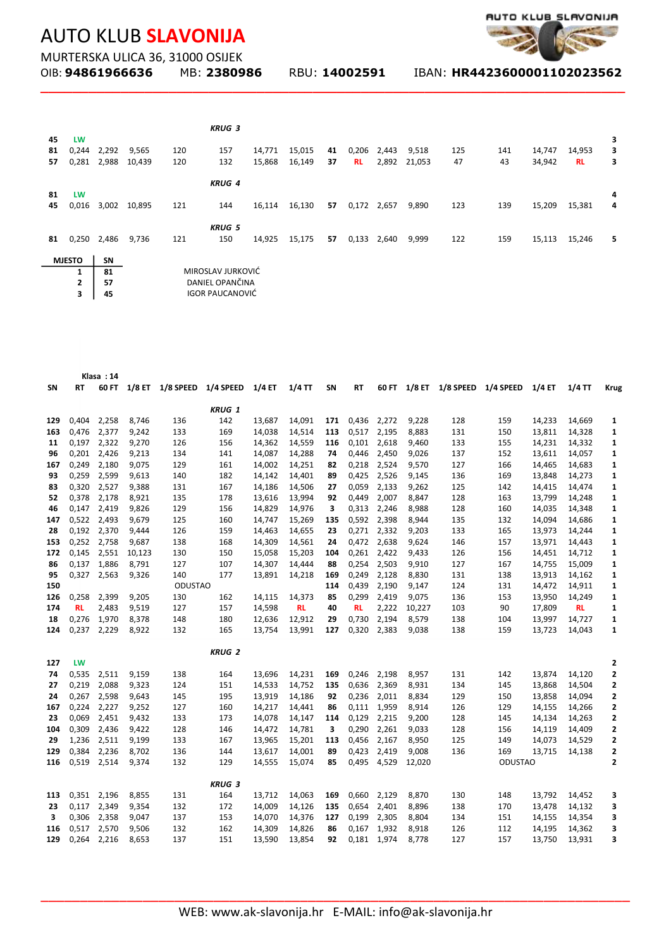

MURTERSKA ULICA 36, 31000 OSIJEK<br>OIB: **94861966636** MB: 2380986

**\_\_\_\_\_\_\_\_\_\_\_\_\_\_\_\_\_\_\_\_\_\_\_\_\_\_\_\_\_\_\_\_\_\_\_\_\_\_\_\_\_\_\_\_\_\_\_\_\_\_\_\_\_\_\_\_\_\_\_\_\_\_\_\_\_\_\_\_\_\_\_\_\_**

OIB: **94861966636** MB: **2380986** RBU: **14002591** IBAN: **HR4423600001102023562** 

|    |               |       |        |     | <b>KRUG 3</b>          |        |        |    |             |             |              |     |     |        |           |   |
|----|---------------|-------|--------|-----|------------------------|--------|--------|----|-------------|-------------|--------------|-----|-----|--------|-----------|---|
| 45 | <b>LW</b>     |       |        |     |                        |        |        |    |             |             |              |     |     |        |           | 3 |
| 81 | 0,244         | 2,292 | 9,565  | 120 | 157                    | 14,771 | 15,015 | 41 | 0,206       | 2,443       | 9,518        | 125 | 141 | 14,747 | 14,953    | 3 |
| 57 | 0,281         | 2,988 | 10,439 | 120 | 132                    | 15,868 | 16,149 | 37 | <b>RL</b>   |             | 2,892 21,053 | 47  | 43  | 34,942 | <b>RL</b> | 3 |
|    |               |       |        |     | <b>KRUG 4</b>          |        |        |    |             |             |              |     |     |        |           |   |
| 81 | <b>LW</b>     |       |        |     |                        |        |        |    |             |             |              |     |     |        |           | 4 |
| 45 | 0,016         | 3,002 | 10,895 | 121 | 144                    | 16,114 | 16,130 | 57 | 0,172 2,657 |             | 9,890        | 123 | 139 | 15,209 | 15,381    | 4 |
|    |               |       |        |     | <b>KRUG 5</b>          |        |        |    |             |             |              |     |     |        |           |   |
| 81 | 0,250 2,486   |       | 9,736  | 121 | 150                    | 14,925 | 15,175 | 57 |             | 0,133 2,640 | 9,999        | 122 | 159 | 15,113 | 15,246    | 5 |
|    | <b>MJESTO</b> | SN    |        |     |                        |        |        |    |             |             |              |     |     |        |           |   |
|    | 1             | 81    |        |     | MIROSLAV JURKOVIĆ      |        |        |    |             |             |              |     |     |        |           |   |
|    | $\mathbf{2}$  | 57    |        |     | DANIEL OPANČINA        |        |        |    |             |             |              |     |     |        |           |   |
|    | 3             | 45    |        |     | <b>IGOR PAUCANOVIĆ</b> |        |        |    |             |             |              |     |     |        |           |   |

|     |           | Klasa: 14   |                |                            |                      |        |                  |     |           |       |                |                                  |                |                  |           |              |
|-----|-----------|-------------|----------------|----------------------------|----------------------|--------|------------------|-----|-----------|-------|----------------|----------------------------------|----------------|------------------|-----------|--------------|
| SΝ  | RT        | 60 FT       |                | 1/8 ET 1/8 SPEED 1/4 SPEED |                      | 1/4 ET | 1/4 TT           | SN  | RT        |       |                | 60 FT 1/8 ET 1/8 SPEED 1/4 SPEED |                | $1/4$ ET         | 1/4 TT    | <b>Krug</b>  |
|     |           |             |                |                            |                      |        |                  |     |           |       |                |                                  |                |                  |           |              |
| 129 | 0,404     | 2,258       | 8,746          | 136                        | <b>KRUG 1</b><br>142 | 13,687 | 14,091           | 171 | 0,436     | 2,272 | 9,228          | 128                              | 159            | 14,233           | 14,669    | 1            |
| 163 | 0,476     | 2,377       | 9,242          | 133                        | 169                  | 14,038 | 14,514           | 113 | 0,517     | 2,195 | 8,883          | 131                              | 150            | 13,811           | 14,328    | 1            |
| 11  | 0,197     | 2,322       | 9,270          | 126                        | 156                  | 14,362 | 14,559           | 116 | 0,101     | 2,618 | 9,460          | 133                              | 155            | 14,231           | 14,332    | 1            |
| 96  | 0,201     | 2,426       | 9,213          | 134                        | 141                  | 14,087 | 14,288           | 74  | 0,446     | 2,450 | 9,026          | 137                              | 152            | 13,611           | 14,057    | 1            |
| 167 | 0,249     | 2,180       | 9,075          | 129                        | 161                  | 14,002 | 14,251           | 82  | 0,218     | 2,524 | 9,570          | 127                              | 166            | 14,465           | 14,683    | 1            |
| 93  | 0,259     | 2,599       | 9,613          | 140                        | 182                  | 14,142 | 14,401           | 89  | 0,425     | 2,526 | 9,145          | 136                              | 169            | 13,848           | 14,273    | 1            |
| 83  | 0,320     | 2,527       | 9,388          | 131                        | 167                  | 14,186 | 14,506           | 27  | 0,059     | 2,133 | 9,262          | 125                              | 142            | 14,415           | 14,474    | 1            |
| 52  | 0,378     | 2,178       | 8,921          | 135                        | 178                  | 13,616 | 13,994           | 92  | 0,449     | 2,007 | 8,847          | 128                              | 163            | 13,799           | 14,248    | 1            |
| 46  | 0,147     | 2,419       | 9,826          | 129                        | 156                  | 14,829 | 14,976           | з   | 0,313     | 2,246 | 8,988          | 128                              | 160            | 14,035           | 14,348    | 1            |
|     | 0,522     | 2,493       |                |                            |                      |        |                  |     | 0,592     | 2,398 |                |                                  | 132            |                  | 14,686    |              |
| 147 | 0,192     | 2,370       | 9,679<br>9,444 | 125<br>126                 | 160<br>159           | 14,747 | 15,269<br>14,655 | 135 | 0,271     | 2,332 | 8,944<br>9,203 | 135<br>133                       | 165            | 14,094<br>13,973 | 14,244    | 1<br>1       |
| 28  |           |             |                |                            |                      | 14,463 |                  | 23  |           |       |                |                                  |                |                  |           |              |
| 153 | 0,252     | 2,758       | 9,687          | 138                        | 168                  | 14,309 | 14,561           | 24  | 0,472     | 2,638 | 9,624          | 146                              | 157            | 13,971           | 14,443    | 1            |
| 172 | 0,145     | 2,551       | 10,123         | 130                        | 150                  | 15,058 | 15,203           | 104 | 0,261     | 2,422 | 9,433          | 126                              | 156            | 14,451           | 14,712    | 1            |
| 86  | 0,137     | 1,886       | 8,791          | 127                        | 107                  | 14,307 | 14,444           | 88  | 0,254     | 2,503 | 9,910          | 127                              | 167            | 14,755           | 15,009    | 1            |
| 95  | 0,327     | 2,563       | 9,326          | 140                        | 177                  | 13,891 | 14,218           | 169 | 0,249     | 2,128 | 8,830          | 131                              | 138            | 13,913           | 14,162    | 1            |
| 150 |           |             |                | <b>ODUSTAO</b>             |                      |        |                  | 114 | 0,439     | 2,190 | 9,147          | 124                              | 131            | 14,472           | 14,911    | 1            |
| 126 | 0,258     | 2,399       | 9,205          | 130                        | 162                  | 14,115 | 14,373           | 85  | 0,299     | 2,419 | 9,075          | 136                              | 153            | 13,950           | 14,249    | 1            |
| 174 | <b>RL</b> | 2,483       | 9,519          | 127                        | 157                  | 14,598 | <b>RL</b>        | 40  | <b>RL</b> | 2,222 | 10,227         | 103                              | 90             | 17,809           | <b>RL</b> | 1            |
| 18  | 0,276     | 1,970       | 8,378          | 148                        | 180                  | 12,636 | 12,912           | 29  | 0,730     | 2,194 | 8,579          | 138                              | 104            | 13,997           | 14,727    | 1            |
| 124 | 0,237     | 2,229       | 8,922          | 132                        | 165                  | 13,754 | 13,991           | 127 | 0,320     | 2,383 | 9,038          | 138                              | 159            | 13,723           | 14,043    | 1            |
|     |           |             |                |                            | <b>KRUG 2</b>        |        |                  |     |           |       |                |                                  |                |                  |           |              |
| 127 | LW        |             |                |                            |                      |        |                  |     |           |       |                |                                  |                |                  |           | 2            |
| 74  | 0,535     | 2,511       | 9,159          | 138                        | 164                  | 13,696 | 14,231           | 169 | 0,246     | 2,198 | 8,957          | 131                              | 142            | 13,874           | 14,120    | 2            |
| 27  | 0,219     | 2,088       | 9,323          | 124                        | 151                  | 14,533 | 14,752           | 135 | 0,636     | 2,369 | 8,931          | 134                              | 145            | 13,868           | 14,504    | 2            |
| 24  | 0,267     | 2,598       | 9,643          | 145                        | 195                  | 13,919 | 14,186           | 92  | 0,236     | 2,011 | 8,834          | 129                              | 150            | 13,858           | 14,094    | 2            |
| 167 | 0,224     | 2,227       | 9,252          | 127                        | 160                  | 14,217 | 14,441           | 86  | 0,111     | 1,959 | 8,914          | 126                              | 129            | 14,155           | 14,266    | 2            |
| 23  | 0,069     | 2,451       | 9,432          | 133                        | 173                  | 14,078 | 14,147           | 114 | 0,129     | 2,215 | 9,200          | 128                              | 145            | 14,134           | 14,263    | 2            |
| 104 | 0,309     | 2,436       | 9,422          | 128                        | 146                  | 14,472 | 14,781           | з   | 0,290     | 2,261 | 9,033          | 128                              | 156            | 14,119           | 14,409    | 2            |
| 29  | 1,236     | 2,511       | 9,199          | 133                        | 167                  | 13,965 | 15,201           | 113 | 0,456     | 2,167 | 8,950          | 125                              | 149            | 14,073           | 14,529    | 2            |
| 129 | 0,384     | 2,236       | 8,702          | 136                        | 144                  | 13,617 | 14,001           | 89  | 0,423     | 2,419 | 9,008          | 136                              | 169            | 13,715           | 14,138    | 2            |
| 116 | 0,519     | 2,514       | 9,374          | 132                        | 129                  | 14,555 | 15,074           | 85  | 0,495     | 4,529 | 12,020         |                                  | <b>ODUSTAO</b> |                  |           | $\mathbf{z}$ |
|     |           |             |                |                            |                      |        |                  |     |           |       |                |                                  |                |                  |           |              |
|     |           |             |                |                            | <b>KRUG 3</b>        |        |                  |     |           |       |                |                                  |                |                  |           |              |
| 113 |           | 0,351 2,196 | 8,855          | 131                        | 164                  | 13,712 | 14,063           | 169 | 0,660     | 2,129 | 8,870          | 130                              | 148            | 13,792           | 14,452    | з            |
| 23  | 0,117     | 2,349       | 9,354          | 132                        | 172                  | 14,009 | 14,126           | 135 | 0,654     | 2,401 | 8,896          | 138                              | 170            | 13,478           | 14,132    | 3            |
| 3   | 0,306     | 2,358       | 9,047          | 137                        | 153                  | 14,070 | 14,376           | 127 | 0,199     | 2,305 | 8,804          | 134                              | 151            | 14,155           | 14,354    | 3            |
| 116 | 0,517     | 2,570       | 9,506          | 132                        | 162                  | 14,309 | 14,826           | 86  | 0,167     | 1,932 | 8,918          | 126                              | 112            | 14,195           | 14,362    | 3            |
| 129 | 0,264     | 2,216       | 8,653          | 137                        | 151                  | 13,590 | 13,854           | 92  | 0,181     | 1,974 | 8,778          | 127                              | 157            | 13,750           | 13,931    | 3            |
|     |           |             |                |                            |                      |        |                  |     |           |       |                |                                  |                |                  |           |              |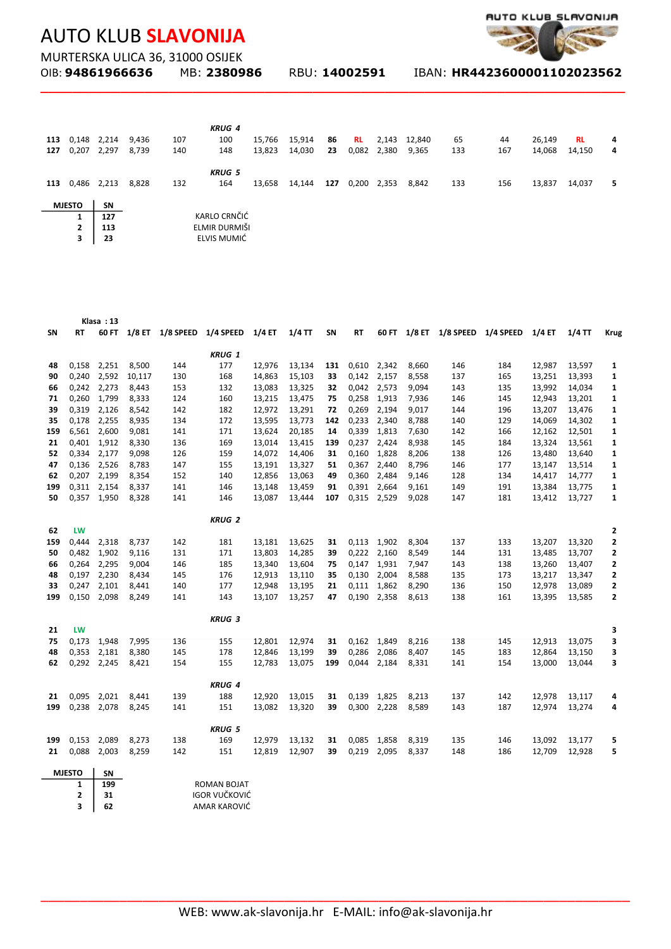

MURTERSKA ULICA 36, 31000 OSIJEK<br>OIB: **94861966636** MB: 23809

**\_\_\_\_\_\_\_\_\_\_\_\_\_\_\_\_\_\_\_\_\_\_\_\_\_\_\_\_\_\_\_\_\_\_\_\_\_\_\_\_\_\_\_\_\_\_\_\_\_\_\_\_\_\_\_\_\_\_\_\_\_\_\_\_\_\_\_\_\_\_\_\_\_**

OIB: **94861966636** MB: **2380986** RBU: **14002591** IBAN: **HR4423600001102023562** 

|     |                |           |       |     | <b>KRUG 4</b> |        |        |     |           |             |        |     |     |        |           |   |
|-----|----------------|-----------|-------|-----|---------------|--------|--------|-----|-----------|-------------|--------|-----|-----|--------|-----------|---|
| 113 | 0,148          | 2,214     | 9,436 | 107 | 100           | 15,766 | 15,914 | 86  | <b>RL</b> | 2,143       | 12,840 | 65  | 44  | 26,149 | <b>RL</b> | 4 |
| 127 | 0,207          | 2,297     | 8,739 | 140 | 148           | 13,823 | 14,030 | 23  |           | 0,082 2,380 | 9,365  | 133 | 167 | 14,068 | 14,150    | 4 |
|     |                |           |       |     | <b>KRUG 5</b> |        |        |     |           |             |        |     |     |        |           |   |
| 113 | 0,486 2,213    |           | 8,828 | 132 | 164           | 13,658 | 14,144 | 127 | 0,200     | 2,353       | 8,842  | 133 | 156 | 13,837 | 14,037    | 5 |
|     | <b>MJESTO</b>  | <b>SN</b> |       |     |               |        |        |     |           |             |        |     |     |        |           |   |
|     | 1              | 127       |       |     | KARLO CRNČIĆ  |        |        |     |           |             |        |     |     |        |           |   |
|     | $\overline{2}$ | 113       |       |     | ELMIR DURMIŠI |        |        |     |           |             |        |     |     |        |           |   |
|     | 3              | 23        |       |     | ELVIS MUMIĆ   |        |        |     |           |             |        |     |     |        |           |   |

|     |               | Klasa: 13   |        |     |                                         |        |          |     |       |             |       |                                         |     |        |          |              |
|-----|---------------|-------------|--------|-----|-----------------------------------------|--------|----------|-----|-------|-------------|-------|-----------------------------------------|-----|--------|----------|--------------|
| SΝ  | RT            |             |        |     | 60 FT 1/8 ET 1/8 SPEED 1/4 SPEED 1/4 ET |        | $1/4$ TT | SΝ  | RT    |             |       | 60 FT 1/8 ET 1/8 SPEED 1/4 SPEED 1/4 ET |     |        | $1/4$ TT | <b>Krug</b>  |
|     |               |             |        |     | <b>KRUG 1</b>                           |        |          |     |       |             |       |                                         |     |        |          |              |
| 48  |               | 0,158 2,251 | 8,500  | 144 | 177                                     | 12,976 | 13,134   | 131 | 0,610 | 2,342       | 8,660 | 146                                     | 184 | 12,987 | 13,597   | 1            |
| 90  | 0,240         | 2,592       | 10,117 | 130 | 168                                     | 14,863 | 15,103   | 33  | 0,142 | 2,157       | 8,558 | 137                                     | 165 | 13,251 | 13,393   | 1            |
| 66  | 0,242         | 2,273       | 8,443  | 153 | 132                                     | 13,083 | 13,325   | 32  | 0,042 | 2,573       | 9,094 | 143                                     | 135 | 13,992 | 14,034   | 1            |
| 71  | 0,260         | 1,799       | 8,333  | 124 | 160                                     | 13,215 | 13,475   | 75  | 0,258 | 1,913       | 7,936 | 146                                     | 145 | 12,943 | 13,201   | 1            |
| 39  | 0,319         | 2,126       | 8,542  | 142 | 182                                     | 12,972 | 13,291   | 72  | 0,269 | 2,194       | 9,017 | 144                                     | 196 | 13,207 | 13,476   | 1            |
| 35  | 0,178         | 2,255       | 8,935  | 134 | 172                                     | 13,595 | 13,773   | 142 | 0,233 | 2,340       | 8,788 | 140                                     | 129 | 14,069 | 14,302   | 1            |
| 159 | 6,561         | 2,600       | 9,081  | 141 | 171                                     | 13,624 | 20,185   | 14  | 0,339 | 1,813       | 7,630 | 142                                     | 166 | 12,162 | 12,501   | 1            |
| 21  | 0,401         | 1,912       | 8,330  | 136 | 169                                     | 13,014 | 13,415   | 139 | 0,237 | 2,424       | 8,938 | 145                                     | 184 | 13,324 | 13,561   | $\mathbf{1}$ |
| 52  | 0,334         | 2,177       | 9,098  | 126 | 159                                     | 14,072 | 14,406   | 31  | 0,160 | 1,828       | 8,206 | 138                                     | 126 | 13,480 | 13,640   | 1            |
| 47  | 0,136         | 2,526       | 8,783  | 147 | 155                                     | 13,191 | 13,327   | 51  | 0,367 | 2,440       | 8,796 | 146                                     | 177 | 13,147 | 13,514   | 1            |
| 62  | 0,207         | 2,199       | 8,354  | 152 | 140                                     | 12,856 | 13,063   | 49  | 0,360 | 2,484       | 9,146 | 128                                     | 134 | 14,417 | 14,777   | 1            |
| 199 | 0,311         | 2,154       | 8,337  | 141 | 146                                     | 13,148 | 13,459   | 91  | 0,391 | 2,664       | 9,161 | 149                                     | 191 | 13,384 | 13,775   | 1            |
| 50  |               | 0,357 1,950 | 8,328  | 141 | 146                                     | 13,087 | 13,444   | 107 | 0,315 | 2,529       | 9,028 | 147                                     | 181 | 13,412 | 13,727   | 1            |
|     |               |             |        |     |                                         |        |          |     |       |             |       |                                         |     |        |          |              |
|     |               |             |        |     | <b>KRUG 2</b>                           |        |          |     |       |             |       |                                         |     |        |          |              |
| 62  | <b>LW</b>     |             |        |     |                                         |        |          |     |       |             |       |                                         |     |        |          | 2            |
| 159 | 0,444         | 2,318       | 8,737  | 142 | 181                                     | 13,181 | 13,625   | 31  |       | 0,113 1,902 | 8,304 | 137                                     | 133 | 13,207 | 13,320   | 2            |
| 50  | 0,482         | 1,902       | 9,116  | 131 | 171                                     | 13,803 | 14,285   | 39  | 0,222 | 2,160       | 8,549 | 144                                     | 131 | 13,485 | 13,707   | 2            |
| 66  | 0,264         | 2,295       | 9,004  | 146 | 185                                     | 13,340 | 13,604   | 75  | 0,147 | 1,931       | 7,947 | 143                                     | 138 | 13,260 | 13,407   | 2            |
| 48  | 0,197         | 2,230       | 8,434  | 145 | 176                                     | 12,913 | 13,110   | 35  | 0,130 | 2,004       | 8,588 | 135                                     | 173 | 13,217 | 13,347   | 2            |
| 33  | 0,247         | 2,101       | 8,441  | 140 | 177                                     | 12,948 | 13,195   | 21  | 0,111 | 1,862       | 8,290 | 136                                     | 150 | 12,978 | 13,089   | 2            |
| 199 | 0,150         | 2,098       | 8,249  | 141 | 143                                     | 13,107 | 13,257   | 47  | 0,190 | 2,358       | 8,613 | 138                                     | 161 | 13,395 | 13,585   | 2            |
|     |               |             |        |     | <b>KRUG 3</b>                           |        |          |     |       |             |       |                                         |     |        |          |              |
| 21  | LW            |             |        |     |                                         |        |          |     |       |             |       |                                         |     |        |          | 3            |
| 75  | 0,173         | 1,948       | 7,995  | 136 | 155                                     | 12,801 | 12,974   | 31  | 0,162 | 1,849       | 8,216 | 138                                     | 145 | 12,913 | 13,075   | 3            |
| 48  | 0,353         | 2,181       | 8,380  | 145 | 178                                     | 12,846 | 13,199   | 39  | 0,286 | 2,086       | 8,407 | 145                                     | 183 | 12,864 | 13,150   | з            |
| 62  |               | 0,292 2,245 | 8,421  | 154 | 155                                     | 12,783 | 13,075   | 199 | 0,044 | 2,184       | 8,331 | 141                                     | 154 | 13,000 | 13,044   | 3            |
|     |               |             |        |     | <b>KRUG 4</b>                           |        |          |     |       |             |       |                                         |     |        |          |              |
| 21  |               | 0,095 2,021 | 8,441  | 139 | 188                                     | 12,920 | 13,015   | 31  | 0,139 | 1,825       | 8,213 | 137                                     | 142 | 12,978 | 13,117   | 4            |
| 199 |               | 0,238 2,078 | 8,245  | 141 | 151                                     | 13,082 | 13,320   | 39  | 0,300 | 2,228       | 8,589 | 143                                     | 187 | 12,974 | 13,274   | 4            |
|     |               |             |        |     |                                         |        |          |     |       |             |       |                                         |     |        |          |              |
|     |               |             |        |     | <b>KRUG 5</b>                           |        |          |     |       |             |       |                                         |     |        |          |              |
| 199 | 0,153         | 2,089       | 8,273  | 138 | 169                                     | 12,979 | 13,132   | 31  | 0,085 | 1,858       | 8,319 | 135                                     | 146 | 13,092 | 13,177   | 5            |
| 21  | 0,088 2,003   |             | 8,259  | 142 | 151                                     | 12,819 | 12,907   | 39  | 0,219 | 2,095       | 8,337 | 148                                     | 186 | 12,709 | 12,928   | 5            |
|     | <b>MJESTO</b> | SN          |        |     |                                         |        |          |     |       |             |       |                                         |     |        |          |              |
|     | 1.            | 100         |        |     | ROMAN ROIAT                             |        |          |     |       |             |       |                                         |     |        |          |              |

 $\begin{array}{|c|c|c|}\n\hline\n1 & 199 \\
2 & 31\n\end{array}$  $\overline{31}$  $\frac{2}{3}$  **62** ROMAN BOJAT IGOR VUČKOVIĆ AMAR KAROVIĆ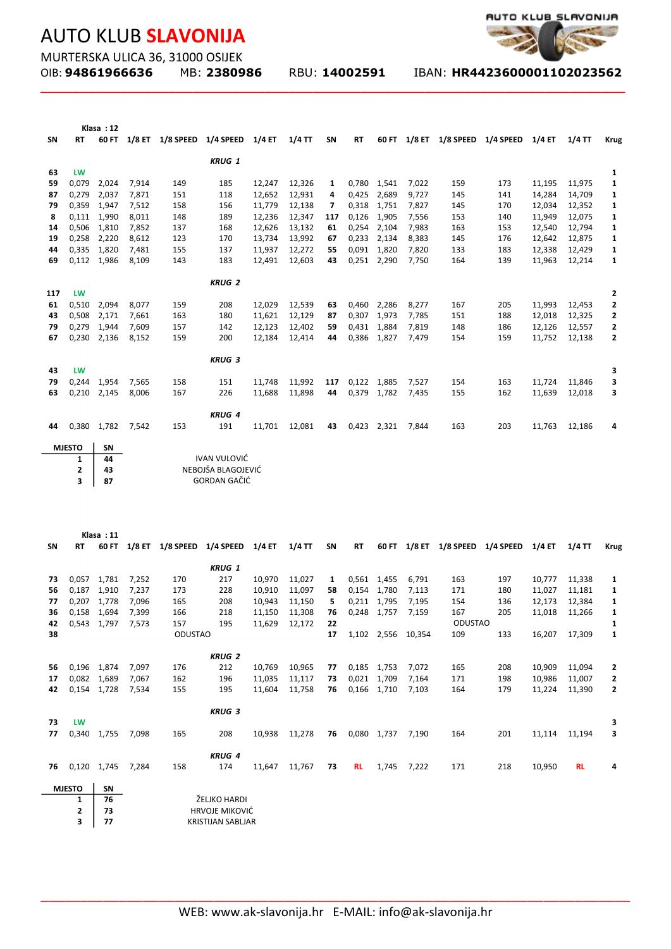

MURTERSKA ULICA 36, 31000 OSIJEK<br>OIB: **94861966636** MB: 23809

**\_\_\_\_\_\_\_\_\_\_\_\_\_\_\_\_\_\_\_\_\_\_\_\_\_\_\_\_\_\_\_\_\_\_\_\_\_\_\_\_\_\_\_\_\_\_\_\_\_\_\_\_\_\_\_\_\_\_\_\_\_\_\_\_\_\_\_\_\_\_\_\_\_**

OIB: **94861966636** MB: **2380986** RBU: **14002591** IBAN: **HR4423600001102023562** 

|          |               | Klasa: 12         |                |            |                                         |                  |                  |          |             |                      |                |            |                                         |                  |                  |                   |
|----------|---------------|-------------------|----------------|------------|-----------------------------------------|------------------|------------------|----------|-------------|----------------------|----------------|------------|-----------------------------------------|------------------|------------------|-------------------|
| SN       | <b>RT</b>     |                   |                |            | 60 FT 1/8 ET 1/8 SPEED 1/4 SPEED 1/4 ET |                  | $1/4$ TT         | SN       | <b>RT</b>   |                      |                |            | 60 FT 1/8 ET 1/8 SPEED 1/4 SPEED 1/4 ET |                  | $1/4$ TT         | <b>Krug</b>       |
|          |               |                   |                |            |                                         |                  |                  |          |             |                      |                |            |                                         |                  |                  |                   |
| 63       | LW            |                   |                |            | <b>KRUG 1</b>                           |                  |                  |          |             |                      |                |            |                                         |                  |                  | 1                 |
| 59       | 0,079         | 2,024             | 7,914          | 149        | 185                                     | 12,247           | 12,326           | 1        |             | 0,780 1,541          | 7,022          | 159        | 173                                     | 11,195           | 11,975           | 1                 |
| 87       | 0,279         | 2,037             | 7,871          | 151        | 118                                     | 12,652           | 12,931           | 4        | 0,425       | 2,689                | 9,727          | 145        | 141                                     | 14,284           | 14,709           | 1                 |
| 79       | 0,359         | 1,947             | 7,512          | 158        | 156                                     | 11,779           | 12,138           | 7        |             | 0,318 1,751          | 7,827          | 145        | 170                                     | 12,034           | 12,352           | 1                 |
| 8        | 0,111         | 1,990             | 8,011          | 148        | 189                                     | 12,236           | 12,347           | 117      | 0,126       | 1,905                | 7,556          | 153        | 140                                     | 11,949           | 12,075           | 1                 |
| 14       | 0,506         | 1,810             | 7,852          | 137        | 168                                     | 12,626           | 13,132           | 61       |             | 0,254 2,104          | 7,983          | 163        | 153                                     | 12,540           | 12,794           | 1                 |
| 19       |               | 0,258 2,220       | 8,612          | 123        | 170                                     | 13,734           | 13,992           | 67       |             | 0,233 2,134          | 8,383          | 145        | 176                                     | 12,642           | 12,875           | 1                 |
| 44       |               | 0,335 1,820       | 7,481          | 155        | 137                                     | 11,937           | 12,272           | 55       |             | 0,091 1,820          | 7,820          | 133        | 183                                     | 12,338           | 12,429           | 1                 |
| 69       |               | 0,112 1,986       | 8,109          | 143        | 183                                     | 12,491           | 12,603           | 43       |             | 0,251 2,290          | 7,750          | 164        | 139                                     | 11,963           | 12,214           | 1                 |
|          |               |                   |                |            |                                         |                  |                  |          |             |                      |                |            |                                         |                  |                  |                   |
|          |               |                   |                |            | <b>KRUG 2</b>                           |                  |                  |          |             |                      |                |            |                                         |                  |                  |                   |
| 117      | LW            |                   |                |            |                                         |                  |                  |          |             |                      |                |            |                                         |                  |                  | 2                 |
| 61<br>43 | 0,510         | 2,094             | 8,077          | 159        | 208<br>180                              | 12,029           | 12,539<br>12,129 | 63       | 0,307       | 0,460 2,286<br>1,973 | 8,277          | 167        | 205<br>188                              | 11,993           | 12,453           | $\mathbf{2}$      |
| 79       | 0,508 2,171   | 0,279 1,944       | 7,661<br>7,609 | 163<br>157 | 142                                     | 11,621<br>12,123 | 12,402           | 87<br>59 | 0,431       | 1,884                | 7,785<br>7,819 | 151<br>148 | 186                                     | 12,018<br>12,126 | 12,325<br>12,557 | 2                 |
| 67       |               | 0,230 2,136       | 8,152          | 159        | 200                                     | 12,184           | 12,414           | 44       | 0,386       | 1,827                | 7,479          | 154        | 159                                     | 11,752           | 12,138           | 2<br>$\mathbf{2}$ |
|          |               |                   |                |            |                                         |                  |                  |          |             |                      |                |            |                                         |                  |                  |                   |
|          |               |                   |                |            | <b>KRUG 3</b>                           |                  |                  |          |             |                      |                |            |                                         |                  |                  |                   |
| 43       | LW            |                   |                |            |                                         |                  |                  |          |             |                      |                |            |                                         |                  |                  | з                 |
| 79       | 0,244         | 1,954             | 7,565          | 158        | 151                                     | 11,748           | 11,992           | 117      | 0,122       | 1,885                | 7,527          | 154        | 163                                     | 11,724           | 11,846           | з                 |
| 63       |               | 0,210 2,145       | 8,006          | 167        | 226                                     | 11,688           | 11,898           | 44       |             | 0,379 1,782          | 7,435          | 155        | 162                                     | 11,639           | 12,018           | з                 |
|          |               |                   |                |            |                                         |                  |                  |          |             |                      |                |            |                                         |                  |                  |                   |
|          |               |                   |                |            | <b>KRUG 4</b>                           |                  |                  |          |             |                      |                |            |                                         |                  |                  |                   |
| 44       |               | 0,380 1,782 7,542 |                | 153        | 191                                     | 11,701           | 12,081           | 43       | 0,423 2,321 |                      | 7.844          | 163        | 203                                     | 11,763           | 12,186           | 4                 |
|          | <b>MJESTO</b> | <b>SN</b>         |                |            |                                         |                  |                  |          |             |                      |                |            |                                         |                  |                  |                   |
|          | 1             | 44                |                |            | <b>IVAN VULOVIĆ</b>                     |                  |                  |          |             |                      |                |            |                                         |                  |                  |                   |
|          | 2             | 43                |                |            | NEBOJŠA BLAGOJEVIĆ                      |                  |                  |          |             |                      |                |            |                                         |                  |                  |                   |
|          | 3             | 87                |                |            | GORDAN GAČIĆ                            |                  |                  |          |             |                      |                |            |                                         |                  |                  |                   |
|          |               |                   |                |            |                                         |                  |                  |          |             |                      |                |            |                                         |                  |                  |                   |
|          |               |                   |                |            |                                         |                  |                  |          |             |                      |                |            |                                         |                  |                  |                   |
|          |               |                   |                |            |                                         |                  |                  |          |             |                      |                |            |                                         |                  |                  |                   |

| Klasa: 11 |                |       |          |           |               |        |          |       |           |        |          |                |           |        |           |             |
|-----------|----------------|-------|----------|-----------|---------------|--------|----------|-------|-----------|--------|----------|----------------|-----------|--------|-----------|-------------|
| <b>SN</b> | <b>RT</b>      | 60 FT | $1/8$ ET | 1/8 SPEED | 1/4 SPEED     | 1/4 ET | $1/4$ TT | SN    | <b>RT</b> | 60 FT  | $1/8$ ET | 1/8 SPEED      | 1/4 SPEED | 1/4 ET | $1/4$ TT  | <b>Krug</b> |
|           |                |       |          |           | <b>KRUG 1</b> |        |          |       |           |        |          |                |           |        |           |             |
| 73        | 0,057          | 1,781 | 7,252    | 170       | 217           | 10,970 | 11,027   | 1     | 0,561     | 1,455  | 6,791    | 163            | 197       | 10,777 | 11,338    | 1           |
| 56        | 0,187          | 1,910 | 7,237    | 173       | 228           | 10,910 | 11,097   | 58    | 0,154     | 1,780  | 7,113    | 171            | 180       | 11,027 | 11,181    | 1           |
| 77        | 0,207          | 1,778 | 7,096    | 165       | 208           | 10,943 | 11,150   | 5.    | 0,211     | 1,795  | 7,195    | 154            | 136       | 12,173 | 12,384    | 1           |
| 36        | 0,158          | 1,694 | 7,399    | 166       | 218           | 11,150 | 11,308   | 76    | 0,248     | 1,757  | 7,159    | 167            | 205       | 11,018 | 11,266    | 1           |
| 42        | 0,543          | 1,797 | 7,573    | 157       | 195           | 11,629 | 12,172   | 22    |           |        |          | <b>ODUSTAO</b> |           |        |           | 1           |
| 38        | <b>ODUSTAO</b> |       |          |           |               |        | 17       | 1,102 | 2,556     | 10,354 | 109      | 133            | 16,207    | 17,309 | 1         |             |
|           |                |       |          |           |               |        |          |       |           |        |          |                |           |        |           |             |
|           |                |       |          |           | <b>KRUG 2</b> |        |          |       |           |        |          |                |           |        |           |             |
| 56        | 0,196          | 1,874 | 7,097    | 176       | 212           | 10,769 | 10,965   | 77    | 0,185     | 1,753  | 7,072    | 165            | 208       | 10,909 | 11,094    | 2           |
| 17        | 0,082          | 1,689 | 7,067    | 162       | 196           | 11,035 | 11,117   | 73    | 0,021     | 1,709  | 7,164    | 171            | 198       | 10,986 | 11,007    | 2           |
| 42        | 0,154          | 1,728 | 7,534    | 155       | 195           | 11,604 | 11,758   | 76    | 0,166     | 1,710  | 7,103    | 164            | 179       | 11,224 | 11,390    | 2           |
|           |                |       |          |           |               |        |          |       |           |        |          |                |           |        |           |             |
|           |                |       |          |           | <b>KRUG 3</b> |        |          |       |           |        |          |                |           |        |           |             |
| 73        | LW             |       |          |           |               |        |          |       |           |        |          |                |           |        |           | 3           |
| 77        | 0,340          | 1,755 | 7,098    | 165       | 208           | 10,938 | 11,278   | 76    | 0,080     | 1,737  | 7,190    | 164            | 201       | 11,114 | 11,194    | 3           |
|           |                |       |          |           |               |        |          |       |           |        |          |                |           |        |           |             |
|           |                |       |          |           | <b>KRUG 4</b> |        |          |       |           |        |          |                |           |        |           |             |
| 76        | 0,120          | 1,745 | 7,284    | 158       | 174           | 11,647 | 11,767   | 73    | <b>RL</b> | 1,745  | 7,222    | 171            | 218       | 10,950 | <b>RL</b> | 4           |
|           |                |       |          |           |               |        |          |       |           |        |          |                |           |        |           |             |

| <b>MJESTO</b> | SΝ |
|---------------|----|
|               | 76 |
| 2             | 73 |
| 3             | 77 |

ŽELJKO HARDI HRVOJE MIKOVIĆ KRISTIJAN SABLJAR